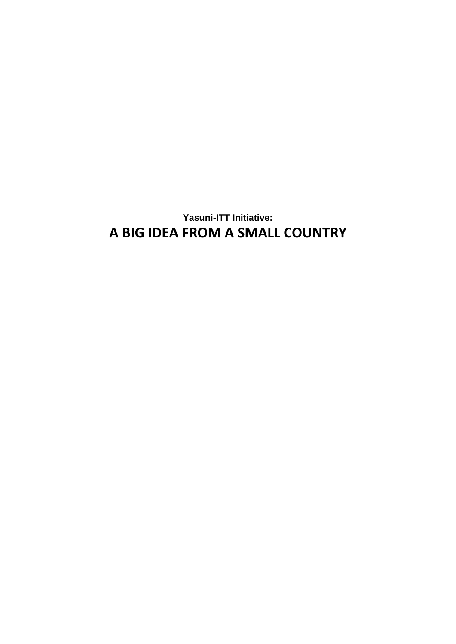**Yasuni-ITT Initiative: A BIG IDEA FROM A SMALL COUNTRY**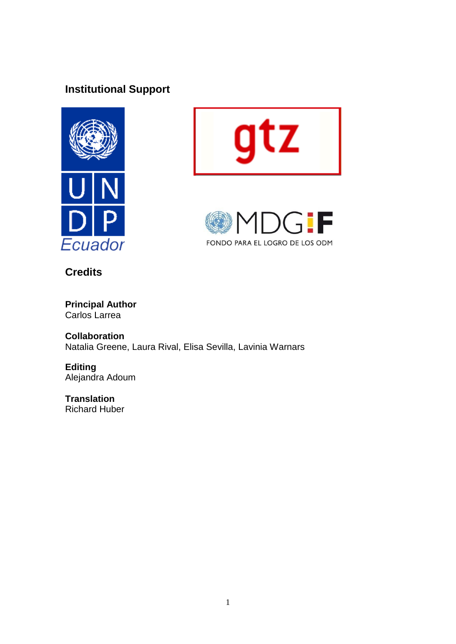# **Institutional Support**







**Credits**

**Principal Author** Carlos Larrea

**Collaboration** Natalia Greene, Laura Rival, Elisa Sevilla, Lavinia Warnars

**Editing** Alejandra Adoum

**Translation** Richard Huber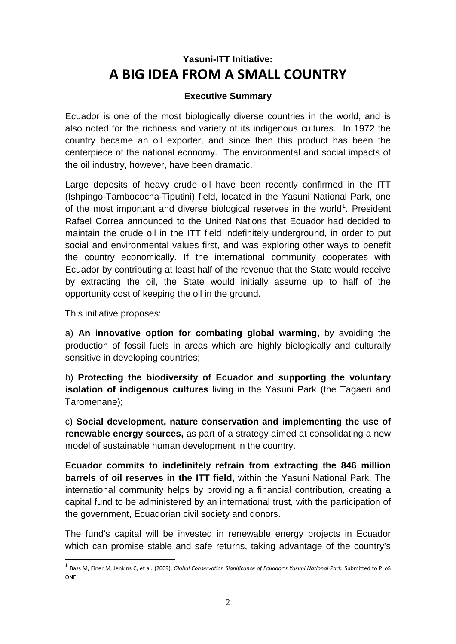# **Yasuni-ITT Initiative: A BIG IDEA FROM A SMALL COUNTRY**

## **Executive Summary**

Ecuador is one of the most biologically diverse countries in the world, and is also noted for the richness and variety of its indigenous cultures. In 1972 the country became an oil exporter, and since then this product has been the centerpiece of the national economy. The environmental and social impacts of the oil industry, however, have been dramatic.

Large deposits of heavy crude oil have been recently confirmed in the ITT (Ishpingo-Tambococha-Tiputini) field, located in the Yasuni National Park, one of the most important and diverse biological reserves in the world<sup>[1](#page-2-0)</sup>. President Rafael Correa announced to the United Nations that Ecuador had decided to maintain the crude oil in the ITT field indefinitely underground, in order to put social and environmental values first, and was exploring other ways to benefit the country economically. If the international community cooperates with Ecuador by contributing at least half of the revenue that the State would receive by extracting the oil, the State would initially assume up to half of the opportunity cost of keeping the oil in the ground.

This initiative proposes:

a) **An innovative option for combating global warming,** by avoiding the production of fossil fuels in areas which are highly biologically and culturally sensitive in developing countries;

b) **Protecting the biodiversity of Ecuador and supporting the voluntary isolation of indigenous cultures** living in the Yasuni Park (the Tagaeri and Taromenane);

c) **Social development, nature conservation and implementing the use of renewable energy sources,** as part of a strategy aimed at consolidating a new model of sustainable human development in the country.

**Ecuador commits to indefinitely refrain from extracting the 846 million barrels of oil reserves in the ITT field,** within the Yasuni National Park. The international community helps by providing a financial contribution, creating a capital fund to be administered by an international trust, with the participation of the government, Ecuadorian civil society and donors.

The fund's capital will be invested in renewable energy projects in Ecuador which can promise stable and safe returns, taking advantage of the country's

<span id="page-2-0"></span> <sup>1</sup> Bass M, Finer M, Jenkins C, et al. (2009), *Global Conservation Significance of Ecuador's Yasuní National Park.* Submitted to PLoS **ONE**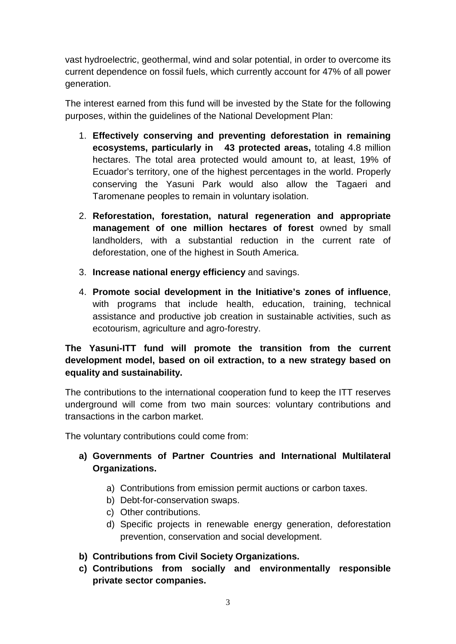vast hydroelectric, geothermal, wind and solar potential, in order to overcome its current dependence on fossil fuels, which currently account for 47% of all power generation.

The interest earned from this fund will be invested by the State for the following purposes, within the guidelines of the National Development Plan:

- 1. **Effectively conserving and preventing deforestation in remaining ecosystems, particularly in 43 protected areas,** totaling 4.8 million hectares. The total area protected would amount to, at least, 19% of Ecuador's territory, one of the highest percentages in the world. Properly conserving the Yasuni Park would also allow the Tagaeri and Taromenane peoples to remain in voluntary isolation.
- 2. **Reforestation, forestation, natural regeneration and appropriate management of one million hectares of forest owned by small** landholders, with a substantial reduction in the current rate of deforestation, one of the highest in South America.
- 3. **Increase national energy efficiency** and savings.
- 4. **Promote social development in the Initiative's zones of influence**, with programs that include health, education, training, technical assistance and productive job creation in sustainable activities, such as ecotourism, agriculture and agro-forestry.

## **The Yasuni-ITT fund will promote the transition from the current development model, based on oil extraction, to a new strategy based on equality and sustainability.**

The contributions to the international cooperation fund to keep the ITT reserves underground will come from two main sources: voluntary contributions and transactions in the carbon market.

The voluntary contributions could come from:

- **a) Governments of Partner Countries and International Multilateral Organizations.**
	- a) Contributions from emission permit auctions or carbon taxes.
	- b) Debt-for-conservation swaps.
	- c) Other contributions.
	- d) Specific projects in renewable energy generation, deforestation prevention, conservation and social development.
- **b) Contributions from Civil Society Organizations.**
- **c) Contributions from socially and environmentally responsible private sector companies.**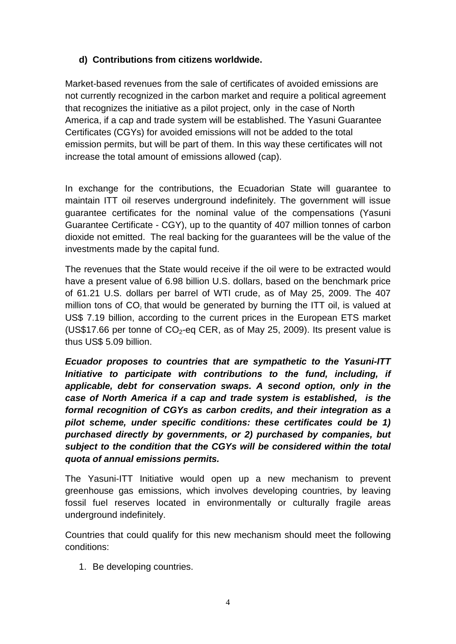## **d) Contributions from citizens worldwide.**

Market-based revenues from the sale of certificates of avoided emissions are not currently recognized in the carbon market and require a political agreement that recognizes the initiative as a pilot project, only in the case of North America, if a cap and trade system will be established. The Yasuni Guarantee Certificates (CGYs) for avoided emissions will not be added to the total emission permits, but will be part of them. In this way these certificates will not increase the total amount of emissions allowed (cap).

In exchange for the contributions, the Ecuadorian State will guarantee to maintain ITT oil reserves underground indefinitely. The government will issue guarantee certificates for the nominal value of the compensations (Yasuni Guarantee Certificate - CGY), up to the quantity of 407 million tonnes of carbon dioxide not emitted. The real backing for the guarantees will be the value of the investments made by the capital fund.

The revenues that the State would receive if the oil were to be extracted would have a present value of 6.98 billion U.S. dollars, based on the benchmark price of 61.21 U.S. dollars per barrel of WTI crude, as of May 25, 2009. The 407 million tons of  $CO<sub>2</sub>$  that would be generated by burning the ITT oil, is valued at US\$ 7.19 billion, according to the current prices in the European ETS market (US\$17.66 per tonne of  $CO<sub>2</sub>$ -eq CER, as of May 25, 2009). Its present value is thus US\$ 5.09 billion.

*Ecuador proposes to countries that are sympathetic to the Yasuni-ITT Initiative to participate with contributions to the fund, including, if applicable, debt for conservation swaps. A second option, only in the case of North America if a cap and trade system is established, is the formal recognition of CGYs as carbon credits, and their integration as a pilot scheme, under specific conditions: these certificates could be 1) purchased directly by governments, or 2) purchased by companies, but subject to the condition that the CGYs will be considered within the total quota of annual emissions permits.*

The Yasuni-ITT Initiative would open up a new mechanism to prevent greenhouse gas emissions, which involves developing countries, by leaving fossil fuel reserves located in environmentally or culturally fragile areas underground indefinitely.

Countries that could qualify for this new mechanism should meet the following conditions:

1. Be developing countries.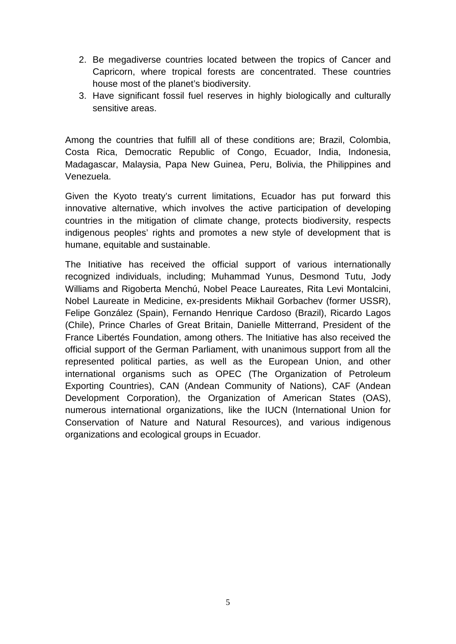- 2. Be megadiverse countries located between the tropics of Cancer and Capricorn, where tropical forests are concentrated. These countries house most of the planet's biodiversity.
- 3. Have significant fossil fuel reserves in highly biologically and culturally sensitive areas.

Among the countries that fulfill all of these conditions are; Brazil, Colombia, Costa Rica, Democratic Republic of Congo, Ecuador, India, Indonesia, Madagascar, Malaysia, Papa New Guinea, Peru, Bolivia, the Philippines and Venezuela.

Given the Kyoto treaty's current limitations, Ecuador has put forward this innovative alternative, which involves the active participation of developing countries in the mitigation of climate change, protects biodiversity, respects indigenous peoples' rights and promotes a new style of development that is humane, equitable and sustainable.

The Initiative has received the official support of various internationally recognized individuals, including; Muhammad Yunus, Desmond Tutu, Jody Williams and Rigoberta Menchú, Nobel Peace Laureates, Rita Levi Montalcini, Nobel Laureate in Medicine, ex-presidents Mikhail Gorbachev (former USSR), Felipe González (Spain), Fernando Henrique Cardoso (Brazil), Ricardo Lagos (Chile), Prince Charles of Great Britain, Danielle Mitterrand, President of the France Libertés Foundation, among others. The Initiative has also received the official support of the German Parliament, with unanimous support from all the represented political parties, as well as the European Union, and other international organisms such as OPEC (The Organization of Petroleum Exporting Countries), CAN (Andean Community of Nations), CAF (Andean Development Corporation), the Organization of American States (OAS), numerous international organizations, like the IUCN (International Union for Conservation of Nature and Natural Resources), and various indigenous organizations and ecological groups in Ecuador.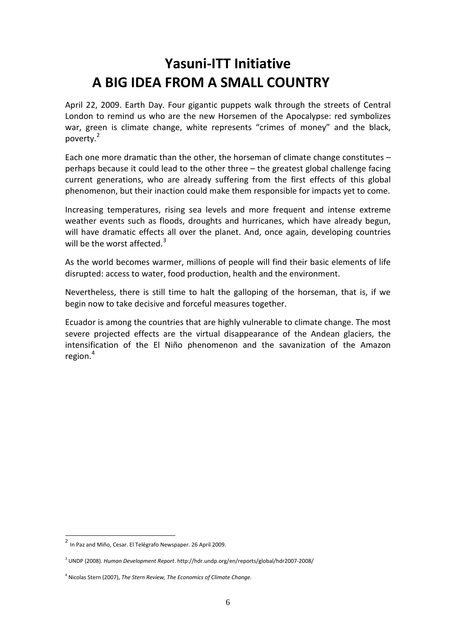# **Yasuni-ITT Initiative A BIG IDEA FROM A SMALL COUNTRY**

April 22, 2009. Earth Day. Four gigantic puppets walk through the streets of Central London to remind us who are the new Horsemen of the Apocalypse: red symbolizes war, green is climate change, white represents "crimes of money" and the black, poverty.[2](#page-6-0)

Each one more dramatic than the other, the horseman of climate change constitutes – perhaps because it could lead to the other three – the greatest global challenge facing current generations, who are already suffering from the first effects of this global phenomenon, but their inaction could make them responsible for impacts yet to come.

Increasing temperatures, rising sea levels and more frequent and intense extreme weather events such as floods, droughts and hurricanes, which have already begun, will have dramatic effects all over the planet. And, once again, developing countries will be the worst affected.<sup>[3](#page-6-1)</sup>

As the world becomes warmer, millions of people will find their basic elements of life disrupted: access to water, food production, health and the environment.

Nevertheless, there is still time to halt the galloping of the horseman, that is, if we begin now to take decisive and forceful measures together.

Ecuador is among the countries that are highly vulnerable to climate change. The most severe projected effects are the virtual disappearance of the Andean glaciers, the intensification of the El Niño phenomenon and the savanization of the Amazon region. [4](#page-6-2)

<span id="page-6-0"></span><sup>2</sup> In Paz and Miño, Cesar. El Telégrafo Newspaper. 26 April 2009.

<span id="page-6-1"></span><sup>3</sup> UNDP (2008). *Human Development Report*. http://hdr.undp.org/en/reports/global/hdr2007-2008/

<span id="page-6-2"></span><sup>4</sup> Nicolas Stern (2007), *The Stern Review, The Economics of Climate Change.*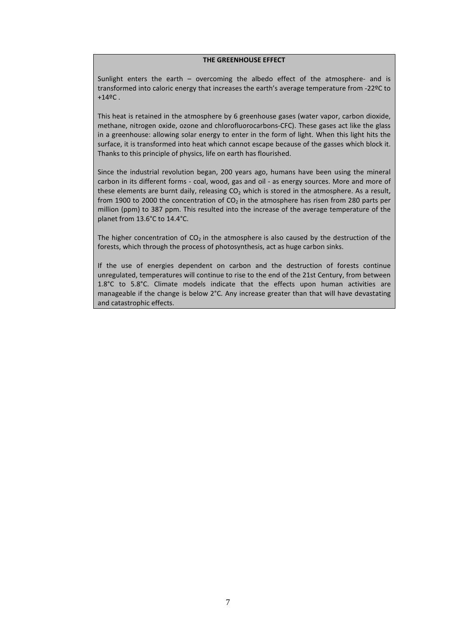#### **THE GREENHOUSE EFFECT**

Sunlight enters the earth – overcoming the albedo effect of the atmosphere- and is transformed into caloric energy that increases the earth's average temperature from -22ºC to  $+14^{\circ}$ C.

This heat is retained in the atmosphere by 6 greenhouse gases (water vapor, carbon dioxide, methane, nitrogen oxide, ozone and chlorofluorocarbons-CFC). These gases act like the glass in a greenhouse: allowing solar energy to enter in the form of light. When this light hits the surface, it is transformed into heat which cannot escape because of the gasses which block it. Thanks to this principle of physics, life on earth has flourished.

Since the industrial revolution began, 200 years ago, humans have been using the mineral carbon in its different forms - coal, wood, gas and oil - as energy sources. More and more of these elements are burnt daily, releasing  $CO<sub>2</sub>$  which is stored in the atmosphere. As a result, from 1900 to 2000 the concentration of  $CO<sub>2</sub>$  in the atmosphere has risen from 280 parts per million (ppm) to 387 ppm. This resulted into the increase of the average temperature of the planet from 13.6°C to 14.4°C.

The higher concentration of  $CO<sub>2</sub>$  in the atmosphere is also caused by the destruction of the forests, which through the process of photosynthesis, act as huge carbon sinks.

If the use of energies dependent on carbon and the destruction of forests continue unregulated, temperatures will continue to rise to the end of the 21st Century, from between 1.8°C to 5.8°C. Climate models indicate that the effects upon human activities are manageable if the change is below 2°C. Any increase greater than that will have devastating and catastrophic effects.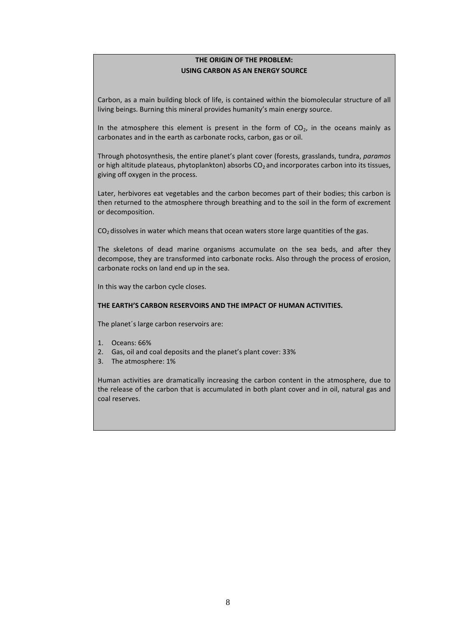#### **THE ORIGIN OF THE PROBLEM: USING CARBON AS AN ENERGY SOURCE**

Carbon, as a main building block of life, is contained within the biomolecular structure of all living beings. Burning this mineral provides humanity's main energy source.

In the atmosphere this element is present in the form of  $CO<sub>2</sub>$ , in the oceans mainly as carbonates and in the earth as carbonate rocks, carbon, gas or oil.

Through photosynthesis, the entire planet's plant cover (forests, grasslands, tundra, *paramos* or high altitude plateaus, phytoplankton) absorbs  $CO<sub>2</sub>$  and incorporates carbon into its tissues, giving off oxygen in the process.

Later, herbivores eat vegetables and the carbon becomes part of their bodies; this carbon is then returned to the atmosphere through breathing and to the soil in the form of excrement or decomposition.

 $CO<sub>2</sub>$  dissolves in water which means that ocean waters store large quantities of the gas.

The skeletons of dead marine organisms accumulate on the sea beds, and after they decompose, they are transformed into carbonate rocks. Also through the process of erosion, carbonate rocks on land end up in the sea.

In this way the carbon cycle closes.

#### **THE EARTH'S CARBON RESERVOIRS AND THE IMPACT OF HUMAN ACTIVITIES.**

The planet´s large carbon reservoirs are:

- 1. Oceans: 66%
- 2. Gas, oil and coal deposits and the planet's plant cover: 33%
- 3. The atmosphere: 1%

Human activities are dramatically increasing the carbon content in the atmosphere, due to the release of the carbon that is accumulated in both plant cover and in oil, natural gas and coal reserves.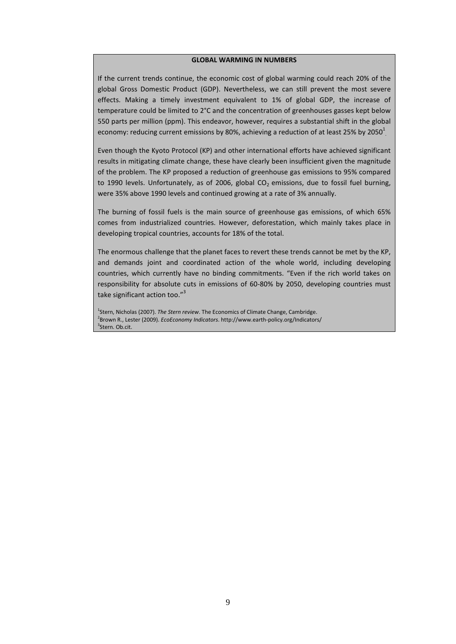#### **GLOBAL WARMING IN NUMBERS**

If the current trends continue, the economic cost of global warming could reach 20% of the global Gross Domestic Product (GDP). Nevertheless, we can still prevent the most severe effects. Making a timely investment equivalent to 1% of global GDP, the increase of temperature could be limited to 2°C and the concentration of greenhouses gasses kept below 550 parts per million (ppm). This endeavor, however, requires a substantial shift in the global economy: reducing current emissions by 80%, achieving a reduction of at least 25% by 2050 $^{\rm l}$ 

Even though the Kyoto Protocol (KP) and other international efforts have achieved significant results in mitigating climate change, these have clearly been insufficient given the magnitude of the problem. The KP proposed a reduction of greenhouse gas emissions to 95% compared to 1990 levels. Unfortunately, as of 2006, global  $CO<sub>2</sub>$  emissions, due to fossil fuel burning, were 35% above 1990 levels and continued growing at a rate of 3% annually.

The burning of fossil fuels is the main source of greenhouse gas emissions, of which 65% comes from industrialized countries. However, deforestation, which mainly takes place in developing tropical countries, accounts for 18% of the total.

The enormous challenge that the planet faces to revert these trends cannot be met by the KP, and demands joint and coordinated action of the whole world, including developing countries, which currently have no binding commitments. "Even if the rich world takes on responsibility for absolute cuts in emissions of 60-80% by 2050, developing countries must take significant action too."<sup>3</sup>

<sup>1</sup>Stern, Nicholas (2007). *The Stern review*. The Economics of Climate Change, Cambridge. 2 Brown R., Lester (2009). *EcoEconomy Indicators*. http://www.earth-policy.org/Indicators/ <sup>3</sup>Stern. Ob.cit.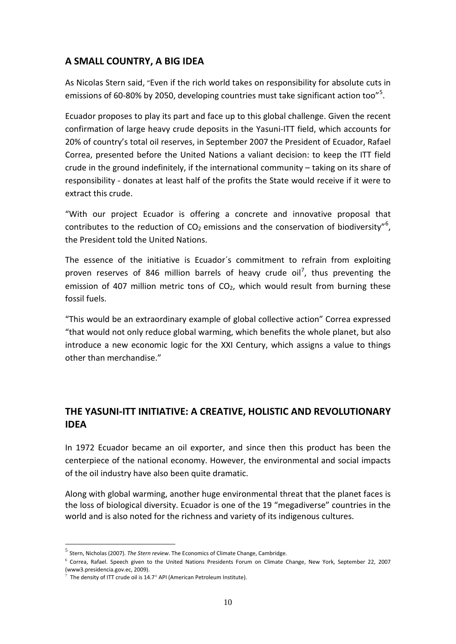## **A SMALL COUNTRY, A BIG IDEA**

As Nicolas Stern said, "Even if the rich world takes on responsibility for absolute cuts in emissions of 60-80% by 20[5](#page-10-0)0, developing countries must take significant action too"<sup>5</sup>.

Ecuador proposes to play its part and face up to this global challenge. Given the recent confirmation of large heavy crude deposits in the Yasuni-ITT field, which accounts for 20% of country's total oil reserves, in September 2007 the President of Ecuador, Rafael Correa, presented before the United Nations a valiant decision: to keep the ITT field crude in the ground indefinitely, if the international community – taking on its share of responsibility - donates at least half of the profits the State would receive if it were to extract this crude.

"With our project Ecuador is offering a concrete and innovative proposal that contributes to the reduction of  $CO<sub>2</sub>$  emissions and the conservation of biodiversity"<sup>[6](#page-10-1)</sup>, the President told the United Nations.

The essence of the initiative is Ecuador´s commitment to refrain from exploiting proven reserves of 846 million barrels of heavy crude oil<sup>[7](#page-10-2)</sup>, thus preventing the emission of 407 million metric tons of  $CO<sub>2</sub>$ , which would result from burning these fossil fuels.

"This would be an extraordinary example of global collective action" Correa expressed "that would not only reduce global warming, which benefits the whole planet, but also introduce a new economic logic for the XXI Century, which assigns a value to things other than merchandise."

## **THE YASUNI-ITT INITIATIVE: A CREATIVE, HOLISTIC AND REVOLUTIONARY IDEA**

In 1972 Ecuador became an oil exporter, and since then this product has been the centerpiece of the national economy. However, the environmental and social impacts of the oil industry have also been quite dramatic.

Along with global warming, another huge environmental threat that the planet faces is the loss of biological diversity. Ecuador is one of the 19 "megadiverse" countries in the world and is also noted for the richness and variety of its indigenous cultures.

<span id="page-10-0"></span> <sup>5</sup> Stern, Nicholas (2007). *The Stern review*. The Economics of Climate Change, Cambridge.

<span id="page-10-1"></span> $^6$  Correa, Rafael. Speech given to the United Nations Presidents Forum on Climate Change, New York, September 22, 2007 (www3.presidencia.gov.ec, 2009).

<span id="page-10-2"></span> $^7$  The density of ITT crude oil is 14.7° API (American Petroleum Institute).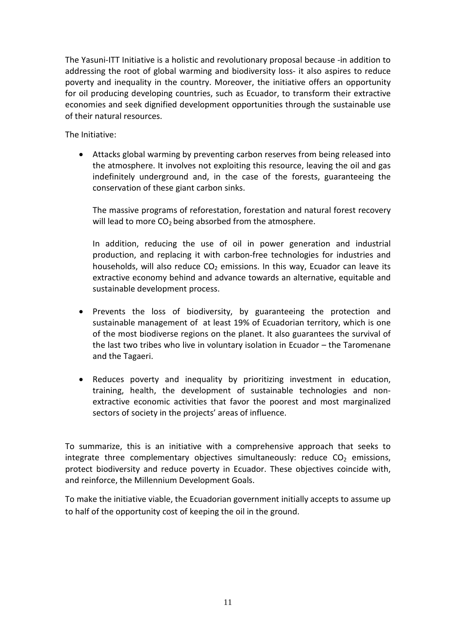The Yasuni-ITT Initiative is a holistic and revolutionary proposal because -in addition to addressing the root of global warming and biodiversity loss- it also aspires to reduce poverty and inequality in the country. Moreover, the initiative offers an opportunity for oil producing developing countries, such as Ecuador, to transform their extractive economies and seek dignified development opportunities through the sustainable use of their natural resources.

The Initiative:

• Attacks global warming by preventing carbon reserves from being released into the atmosphere. It involves not exploiting this resource, leaving the oil and gas indefinitely underground and, in the case of the forests, guaranteeing the conservation of these giant carbon sinks.

The massive programs of reforestation, forestation and natural forest recovery will lead to more  $CO<sub>2</sub>$  being absorbed from the atmosphere.

In addition, reducing the use of oil in power generation and industrial production, and replacing it with carbon-free technologies for industries and households, will also reduce  $CO<sub>2</sub>$  emissions. In this way, Ecuador can leave its extractive economy behind and advance towards an alternative, equitable and sustainable development process.

- Prevents the loss of biodiversity, by guaranteeing the protection and sustainable management of at least 19% of Ecuadorian territory, which is one of the most biodiverse regions on the planet. It also guarantees the survival of the last two tribes who live in voluntary isolation in Ecuador – the Taromenane and the Tagaeri.
- Reduces poverty and inequality by prioritizing investment in education, training, health, the development of sustainable technologies and nonextractive economic activities that favor the poorest and most marginalized sectors of society in the projects' areas of influence.

To summarize, this is an initiative with a comprehensive approach that seeks to integrate three complementary objectives simultaneously: reduce  $CO<sub>2</sub>$  emissions, protect biodiversity and reduce poverty in Ecuador. These objectives coincide with, and reinforce, the Millennium Development Goals.

To make the initiative viable, the Ecuadorian government initially accepts to assume up to half of the opportunity cost of keeping the oil in the ground.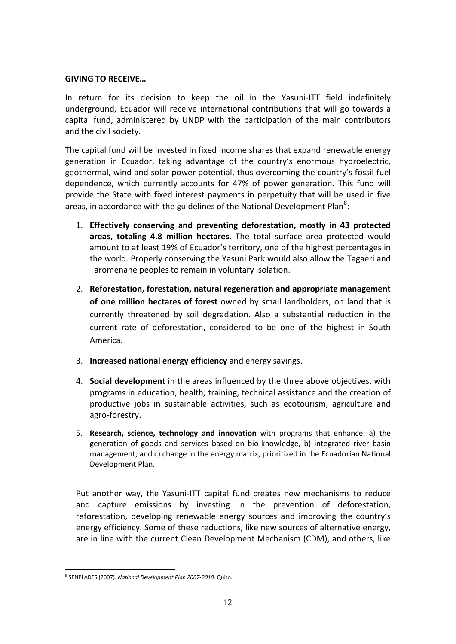#### **GIVING TO RECEIVE…**

In return for its decision to keep the oil in the Yasuni-ITT field indefinitely underground, Ecuador will receive international contributions that will go towards a capital fund, administered by UNDP with the participation of the main contributors and the civil society.

The capital fund will be invested in fixed income shares that expand renewable energy generation in Ecuador, taking advantage of the country's enormous hydroelectric, geothermal, wind and solar power potential, thus overcoming the country's fossil fuel dependence, which currently accounts for 47% of power generation. This fund will provide the State with fixed interest payments in perpetuity that will be used in five areas, in accordance with the guidelines of the National Development Plan<sup>[8](#page-12-0)</sup>:

- 1. **Effectively conserving and preventing deforestation, mostly in 43 protected areas, totaling 4.8 million hectares**. The total surface area protected would amount to at least 19% of Ecuador's territory, one of the highest percentages in the world. Properly conserving the Yasuni Park would also allow the Tagaeri and Taromenane peoples to remain in voluntary isolation.
- 2. **Reforestation, forestation, natural regeneration and appropriate management of one million hectares of forest** owned by small landholders, on land that is currently threatened by soil degradation. Also a substantial reduction in the current rate of deforestation, considered to be one of the highest in South America.
- 3. **Increased national energy efficiency** and energy savings.
- 4. **Social development** in the areas influenced by the three above objectives, with programs in education, health, training, technical assistance and the creation of productive jobs in sustainable activities, such as ecotourism, agriculture and agro-forestry.
- 5. **Research, science, technology and innovation** with programs that enhance: a) the generation of goods and services based on bio-knowledge, b) integrated river basin management, and c) change in the energy matrix, prioritized in the Ecuadorian National Development Plan.

Put another way, the Yasuni-ITT capital fund creates new mechanisms to reduce and capture emissions by investing in the prevention of deforestation, reforestation, developing renewable energy sources and improving the country's energy efficiency. Some of these reductions, like new sources of alternative energy, are in line with the current Clean Development Mechanism (CDM), and others, like

<span id="page-12-0"></span> <sup>8</sup> SENPLADES (2007). *National Development Plan 2007-2010.* Quito.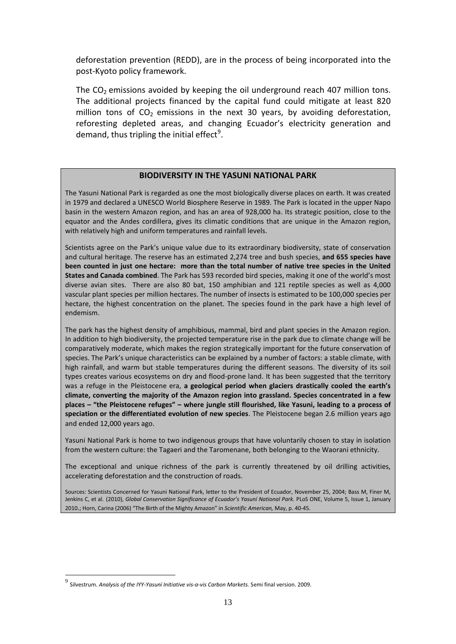deforestation prevention (REDD), are in the process of being incorporated into the post-Kyoto policy framework.

The  $CO<sub>2</sub>$  emissions avoided by keeping the oil underground reach 407 million tons. The additional projects financed by the capital fund could mitigate at least 820 million tons of  $CO<sub>2</sub>$  emissions in the next 30 years, by avoiding deforestation, reforesting depleted areas, and changing Ecuador's electricity generation and demand, thus tripling the initial effect<sup>[9](#page-13-0)</sup>.

#### **BIODIVERSITY IN THE YASUNI NATIONAL PARK**

The Yasuni National Park is regarded as one the most biologically diverse places on earth. It was created in 1979 and declared a UNESCO World Biosphere Reserve in 1989. The Park is located in the upper Napo basin in the western Amazon region, and has an area of 928,000 ha. Its strategic position, close to the equator and the Andes cordillera, gives its climatic conditions that are unique in the Amazon region, with relatively high and uniform temperatures and rainfall levels.

Scientists agree on the Park's unique value due to its extraordinary biodiversity, state of conservation and cultural heritage. The reserve has an estimated 2,274 tree and bush species, **and 655 species have been counted in just one hectare: more than the total number of native tree species in the United States and Canada combined**. The Park has 593 recorded bird species, making it one of the world's most diverse avian sites. There are also 80 bat, 150 amphibian and 121 reptile species as well as 4,000 vascular plant species per million hectares. The number of insects is estimated to be 100,000 species per hectare, the highest concentration on the planet. The species found in the park have a high level of endemism.

The park has the highest density of amphibious, mammal, bird and plant species in the Amazon region. In addition to high biodiversity, the projected temperature rise in the park due to climate change will be comparatively moderate, which makes the region strategically important for the future conservation of species. The Park's unique characteristics can be explained by a number of factors: a stable climate, with high rainfall, and warm but stable temperatures during the different seasons. The diversity of its soil types creates various ecosystems on dry and flood-prone land. It has been suggested that the territory was a refuge in the Pleistocene era, **a geological period when glaciers drastically cooled the earth's climate, converting the majority of the Amazon region into grassland. Species concentrated in a few places – "the Pleistocene refuges" – where jungle still flourished, like Yasuni, leading to a process of speciation or the differentiated evolution of new species**. The Pleistocene began 2.6 million years ago and ended 12,000 years ago.

Yasuni National Park is home to two indigenous groups that have voluntarily chosen to stay in isolation from the western culture: the Tagaeri and the Taromenane, both belonging to the Waorani ethnicity.

The exceptional and unique richness of the park is currently threatened by oil drilling activities, accelerating deforestation and the construction of roads.

Sources: Scientists Concerned for Yasuni National Park, letter to the President of Ecuador, November 25, 2004; Bass M, Finer M, Jenkins C, et al. (2010), *Global Conservation Significance of Ecuador's Yasuní National Park.* PLoS ONE, Volume 5, Issue 1, January 2010.; Horn, Carina (2006) "The Birth of the Mighty Amazon" in *Scientific American,* May, p. 40-45.

<span id="page-13-0"></span> <sup>9</sup> Silvestrum. *Analysis of the IYY-Yasuní Initiative vis-a-vis Carbon Markets.* Semi final version. 2009.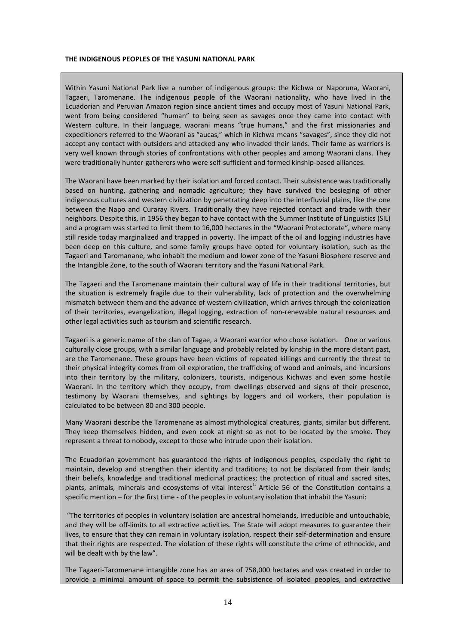#### **THE INDIGENOUS PEOPLES OF THE YASUNI NATIONAL PARK**

Within Yasuni National Park live a number of indigenous groups: the Kichwa or Naporuna, Waorani, Tagaeri, Taromenane. The indigenous people of the Waorani nationality, who have lived in the Ecuadorian and Peruvian Amazon region since ancient times and occupy most of Yasuni National Park, went from being considered "human" to being seen as savages once they came into contact with Western culture. In their language, waorani means "true humans," and the first missionaries and expeditioners referred to the Waorani as "aucas," which in Kichwa means "savages", since they did not accept any contact with outsiders and attacked any who invaded their lands. Their fame as warriors is very well known through stories of confrontations with other peoples and among Waorani clans. They were traditionally hunter-gatherers who were self-sufficient and formed kinship-based alliances.

The Waorani have been marked by their isolation and forced contact. Their subsistence was traditionally based on hunting, gathering and nomadic agriculture; they have survived the besieging of other indigenous cultures and western civilization by penetrating deep into the interfluvial plains, like the one between the Napo and Curaray Rivers. Traditionally they have rejected contact and trade with their neighbors. Despite this, in 1956 they began to have contact with the Summer Institute of Linguistics (SIL) and a program was started to limit them to 16,000 hectares in the "Waorani Protectorate", where many still reside today marginalized and trapped in poverty. The impact of the oil and logging industries have been deep on this culture, and some family groups have opted for voluntary isolation, such as the Tagaeri and Taromanane, who inhabit the medium and lower zone of the Yasuni Biosphere reserve and the Intangible Zone, to the south of Waorani territory and the Yasuni National Park.

The Tagaeri and the Taromenane maintain their cultural way of life in their traditional territories, but the situation is extremely fragile due to their vulnerability, lack of protection and the overwhelming mismatch between them and the advance of western civilization, which arrives through the colonization of their territories, evangelization, illegal logging, extraction of non-renewable natural resources and other legal activities such as tourism and scientific research.

Tagaeri is a generic name of the clan of Tagae, a Waorani warrior who chose isolation. One or various culturally close groups, with a similar language and probably related by kinship in the more distant past, are the Taromenane. These groups have been victims of repeated killings and currently the threat to their physical integrity comes from oil exploration, the trafficking of wood and animals, and incursions into their territory by the military, colonizers, tourists, indigenous Kichwas and even some hostile Waorani. In the territory which they occupy, from dwellings observed and signs of their presence, testimony by Waorani themselves, and sightings by loggers and oil workers, their population is calculated to be between 80 and 300 people.

Many Waorani describe the Taromenane as almost mythological creatures, giants, similar but different. They keep themselves hidden, and even cook at night so as not to be located by the smoke. They represent a threat to nobody, except to those who intrude upon their isolation.

The Ecuadorian government has guaranteed the rights of indigenous peoples, especially the right to maintain, develop and strengthen their identity and traditions; to not be displaced from their lands; their beliefs, knowledge and traditional medicinal practices; the protection of ritual and sacred sites, plants, animals, minerals and ecosystems of vital interest<sup>1.</sup> Article 56 of the Constitution contains a specific mention – for the first time - of the peoples in voluntary isolation that inhabit the Yasuni:

"The territories of peoples in voluntary isolation are ancestral homelands, irreducible and untouchable, and they will be off-limits to all extractive activities. The State will adopt measures to guarantee their lives, to ensure that they can remain in voluntary isolation, respect their self-determination and ensure that their rights are respected. The violation of these rights will constitute the crime of ethnocide, and will be dealt with by the law".

The Tagaeri-Taromenane intangible zone has an area of 758,000 hectares and was created in order to provide a minimal amount of space to permit the subsistence of isolated peoples, and extractive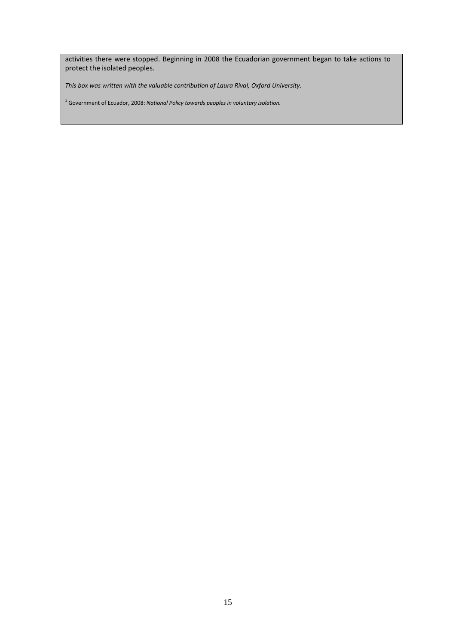activities there were stopped. Beginning in 2008 the Ecuadorian government began to take actions to protect the isolated peoples.

*This box was written with the valuable contribution of Laura Rival, Oxford University.*

<sup>1</sup> Government of Ecuador, 2008: *National Policy towards peoples in voluntary isolation.*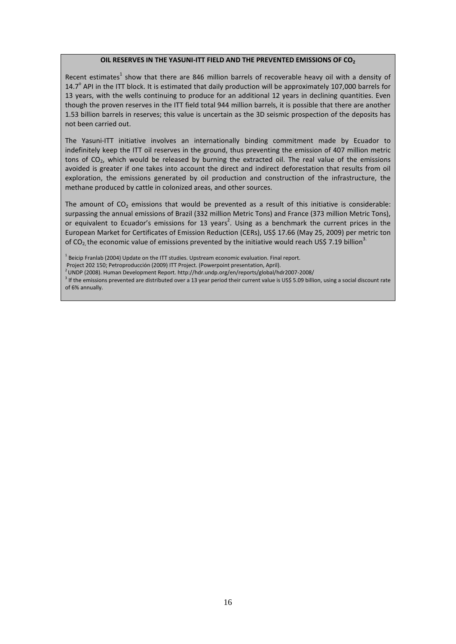#### **OIL RESERVES IN THE YASUNI-ITT FIELD AND THE PREVENTED EMISSIONS OF CO<sub>2</sub>**

Recent estimates<sup>1</sup> show that there are 846 million barrels of recoverable heavy oil with a density of 14.7 $^{\circ}$  API in the ITT block. It is estimated that daily production will be approximately 107,000 barrels for 13 years, with the wells continuing to produce for an additional 12 years in declining quantities. Even though the proven reserves in the ITT field total 944 million barrels, it is possible that there are another 1.53 billion barrels in reserves; this value is uncertain as the 3D seismic prospection of the deposits has not been carried out.

The Yasuni-ITT initiative involves an internationally binding commitment made by Ecuador to indefinitely keep the ITT oil reserves in the ground, thus preventing the emission of 407 million metric tons of CO<sub>2</sub>, which would be released by burning the extracted oil. The real value of the emissions avoided is greater if one takes into account the direct and indirect deforestation that results from oil exploration, the emissions generated by oil production and construction of the infrastructure, the methane produced by cattle in colonized areas, and other sources.

The amount of  $CO<sub>2</sub>$  emissions that would be prevented as a result of this initiative is considerable: surpassing the annual emissions of Brazil (332 million Metric Tons) and France (373 million Metric Tons), or equivalent to Ecuador's emissions for 13 years<sup>2</sup>. Using as a benchmark the current prices in the European Market for Certificates of Emission Reduction (CERs), US\$ 17.66 (May 25, 2009) per metric ton of CO<sub>2</sub> the economic value of emissions prevented by the initiative would reach US\$ 7.19 billion<sup>3</sup>.

 $1$  Beicip Franlab (2004) Update on the ITT studies. Upstream economic evaluation. Final report.

Project 202 150; Petroproducción (2009) ITT Project. (Powerpoint presentation, April).

<sup>2</sup> UNDP (2008). Human Development Report. http://hdr.undp.org/en/reports/global/hdr2007-2008/

<sup>3</sup> If the emissions prevented are distributed over a 13 year period their current value is US\$ 5.09 billion, using a social discount rate of 6% annually.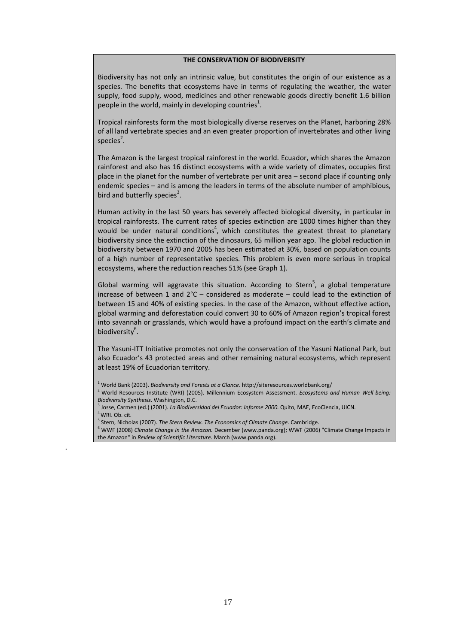#### **THE CONSERVATION OF BIODIVERSITY**

Biodiversity has not only an intrinsic value, but constitutes the origin of our existence as a species. The benefits that ecosystems have in terms of regulating the weather, the water supply, food supply, wood, medicines and other renewable goods directly benefit 1.6 billion people in the world, mainly in developing countries<sup>1</sup>.

Tropical rainforests form the most biologically diverse reserves on the Planet, harboring 28% of all land vertebrate species and an even greater proportion of invertebrates and other living species<sup>2</sup>.

The Amazon is the largest tropical rainforest in the world. Ecuador, which shares the Amazon rainforest and also has 16 distinct ecosystems with a wide variety of climates, occupies first place in the planet for the number of vertebrate per unit area – second place if counting only endemic species – and is among the leaders in terms of the absolute number of amphibious, bird and butterfly species<sup>3</sup>.

Human activity in the last 50 years has severely affected biological diversity, in particular in tropical rainforests. The current rates of species extinction are 1000 times higher than they would be under natural conditions<sup>4</sup>, which constitutes the greatest threat to planetary biodiversity since the extinction of the dinosaurs, 65 million year ago. The global reduction in biodiversity between 1970 and 2005 has been estimated at 30%, based on population counts of a high number of representative species. This problem is even more serious in tropical ecosystems, where the reduction reaches 51% (see Graph 1).

Global warming will aggravate this situation. According to Stern<sup>5</sup>, a global temperature increase of between 1 and  $2^{\circ}C$  – considered as moderate – could lead to the extinction of between 15 and 40% of existing species. In the case of the Amazon, without effective action, global warming and deforestation could convert 30 to 60% of Amazon region's tropical forest into savannah or grasslands, which would have a profound impact on the earth's climate and biodiversity<sup>6</sup>.

The Yasuni-ITT Initiative promotes not only the conservation of the Yasuni National Park, but also Ecuador's 43 protected areas and other remaining natural ecosystems, which represent at least 19% of Ecuadorian territory.

.

<sup>1</sup> World Bank (2003). *Biodiversity and Forests at a Glance.* http://siteresources.worldbank.org/

<sup>2</sup> World Resources Institute (WRI) (2005). Millennium Ecosystem Assessment. *Ecosystems and Human Well-being: Biodiversity Synthesis*. Washington, D.C.

<sup>3</sup> Josse, Carmen (ed.) (2001). *La Biodiversidad del Ecuador: Informe 2000.* Quito, MAE, EcoCiencia, UICN. <sup>4</sup> WRI. Ob. cit.

<sup>5</sup> Stern, Nicholas (2007). *The Stern Review. The Economics of Climate Change.* Cambridge.

<sup>6</sup> WWF (2008) *Climate Change in the Amazon.* December (www.panda.org); WWF (2006) "Climate Change Impacts in the Amazon" in *Review of Scientific Literature*. March (www.panda.org).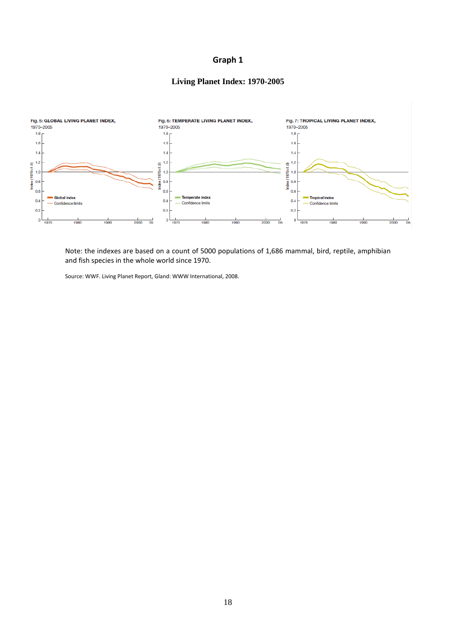## **Living Planet Index: 1970-2005**



Note: the indexes are based on a count of 5000 populations of 1,686 mammal, bird, reptile, amphibian and fish species in the whole world since 1970.

Source: WWF. Living Planet Report, Gland: WWW International, 2008.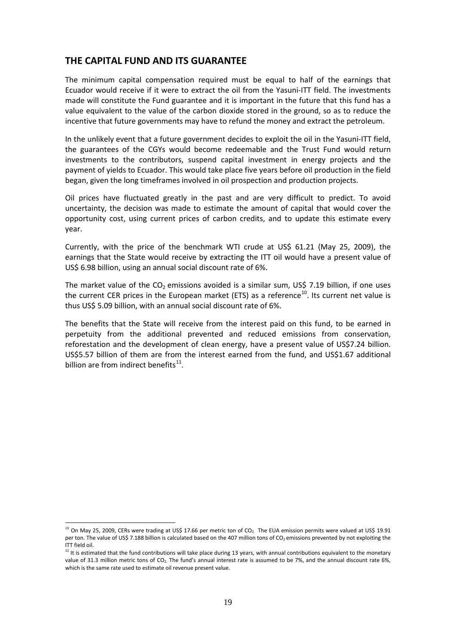### **THE CAPITAL FUND AND ITS GUARANTEE**

The minimum capital compensation required must be equal to half of the earnings that Ecuador would receive if it were to extract the oil from the Yasuni-ITT field. The investments made will constitute the Fund guarantee and it is important in the future that this fund has a value equivalent to the value of the carbon dioxide stored in the ground, so as to reduce the incentive that future governments may have to refund the money and extract the petroleum.

In the unlikely event that a future government decides to exploit the oil in the Yasuni-ITT field, the guarantees of the CGYs would become redeemable and the Trust Fund would return investments to the contributors, suspend capital investment in energy projects and the payment of yields to Ecuador. This would take place five years before oil production in the field began, given the long timeframes involved in oil prospection and production projects.

Oil prices have fluctuated greatly in the past and are very difficult to predict. To avoid uncertainty, the decision was made to estimate the amount of capital that would cover the opportunity cost, using current prices of carbon credits, and to update this estimate every year.

Currently, with the price of the benchmark WTI crude at US\$ 61.21 (May 25, 2009), the earnings that the State would receive by extracting the ITT oil would have a present value of US\$ 6.98 billion, using an annual social discount rate of 6%.

The market value of the  $CO<sub>2</sub>$  emissions avoided is a similar sum, US\$ 7.19 billion, if one uses the current CER prices in the European market (ETS) as a reference<sup>[10](#page-19-0)</sup>. Its current net value is thus US\$ 5.09 billion, with an annual social discount rate of 6%.

The benefits that the State will receive from the interest paid on this fund, to be earned in perpetuity from the additional prevented and reduced emissions from conservation, reforestation and the development of clean energy, have a present value of US\$7.24 billion. US\$5.57 billion of them are from the interest earned from the fund, and US\$1.67 additional billion are from indirect benefits<sup>[11](#page-19-1)</sup>.

<span id="page-19-0"></span> $10$  On May 25, 2009, CERs were trading at US\$ 17.66 per metric ton of CO<sub>2</sub>. The EUA emission permits were valued at US\$ 19.91 per ton. The value of US\$ 7.188 billion is calculated based on the 407 million tons of  $CO<sub>2</sub>$  emissions prevented by not exploiting the ITT field oil.

<span id="page-19-1"></span> $11$  It is estimated that the fund contributions will take place during 13 years, with annual contributions equivalent to the monetary value of 31.3 million metric tons of CO<sub>2.</sub> The fund's annual interest rate is assumed to be 7%, and the annual discount rate 6%, which is the same rate used to estimate oil revenue present value.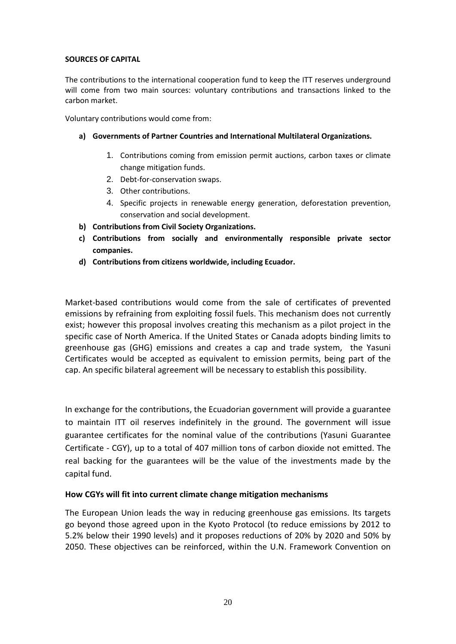#### **SOURCES OF CAPITAL**

The contributions to the international cooperation fund to keep the ITT reserves underground will come from two main sources: voluntary contributions and transactions linked to the carbon market.

Voluntary contributions would come from:

- **a) Governments of Partner Countries and International Multilateral Organizations.**
	- 1. Contributions coming from emission permit auctions, carbon taxes or climate change mitigation funds.
	- 2. Debt-for-conservation swaps.
	- 3. Other contributions.
	- 4. Specific projects in renewable energy generation, deforestation prevention, conservation and social development.
- **b) Contributions from Civil Society Organizations.**
- **c) Contributions from socially and environmentally responsible private sector companies.**
- **d) Contributions from citizens worldwide, including Ecuador.**

Market-based contributions would come from the sale of certificates of prevented emissions by refraining from exploiting fossil fuels. This mechanism does not currently exist; however this proposal involves creating this mechanism as a pilot project in the specific case of North America. If the United States or Canada adopts binding limits to greenhouse gas (GHG) emissions and creates a cap and trade system, the Yasuni Certificates would be accepted as equivalent to emission permits, being part of the cap. An specific bilateral agreement will be necessary to establish this possibility.

In exchange for the contributions, the Ecuadorian government will provide a guarantee to maintain ITT oil reserves indefinitely in the ground. The government will issue guarantee certificates for the nominal value of the contributions (Yasuni Guarantee Certificate - CGY), up to a total of 407 million tons of carbon dioxide not emitted. The real backing for the guarantees will be the value of the investments made by the capital fund.

#### **How CGYs will fit into current climate change mitigation mechanisms**

The European Union leads the way in reducing greenhouse gas emissions. Its targets go beyond those agreed upon in the Kyoto Protocol (to reduce emissions by 2012 to 5.2% below their 1990 levels) and it proposes reductions of 20% by 2020 and 50% by 2050. These objectives can be reinforced, within the U.N. Framework Convention on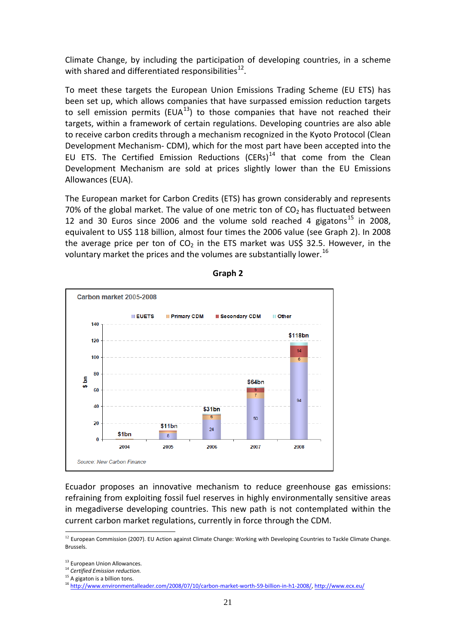Climate Change, by including the participation of developing countries, in a scheme with shared and differentiated responsibilities $^{12}$  $^{12}$  $^{12}$ .

To meet these targets the European Union Emissions Trading Scheme (EU ETS) has been set up, which allows companies that have surpassed emission reduction targets to sell emission permits (EUA<sup>13</sup>) to those companies that have not reached their targets, within a framework of certain regulations. Developing countries are also able to receive carbon credits through a mechanism recognized in the Kyoto Protocol (Clean Development Mechanism- CDM), which for the most part have been accepted into the EU ETS. The Certified Emission Reductions (CERs)<sup>[14](#page-21-2)</sup> that come from the Clean Development Mechanism are sold at prices slightly lower than the EU Emissions Allowances (EUA).

The European market for Carbon Credits (ETS) has grown considerably and represents 70% of the global market. The value of one metric ton of  $CO<sub>2</sub>$  has fluctuated between 12 and 30 Euros since 2006 and the volume sold reached 4 gigatons<sup>[15](#page-21-3)</sup> in 2008, equivalent to US\$ 118 billion, almost four times the 2006 value (see Graph 2). In 2008 the average price per ton of  $CO<sub>2</sub>$  in the ETS market was US\$ 32.5. However, in the voluntary market the prices and the volumes are substantially lower.<sup>[16](#page-21-4)</sup>



**Graph 2**

Ecuador proposes an innovative mechanism to reduce greenhouse gas emissions: refraining from exploiting fossil fuel reserves in highly environmentally sensitive areas in megadiverse developing countries. This new path is not contemplated within the current carbon market regulations, currently in force through the CDM.

<span id="page-21-0"></span><sup>&</sup>lt;sup>12</sup> European Commission (2007). EU Action against Climate Change: Working with Developing Countries to Tackle Climate Change. Brussels.

<sup>&</sup>lt;sup>13</sup> European Union Allowances.

<span id="page-21-2"></span><span id="page-21-1"></span><sup>14</sup> *Certified Emission reduction.*

<span id="page-21-3"></span><sup>&</sup>lt;sup>15</sup> A gigaton is a billion tons.

<span id="page-21-4"></span><sup>16</sup> [http://www.environmentalleader.com/2008/07/10/carbon-market-worth-59-billion-in-h1-2008/,](http://www.environmentalleader.com/2008/07/10/carbon-market-worth-59-billion-in-h1-2008/)<http://www.ecx.eu/>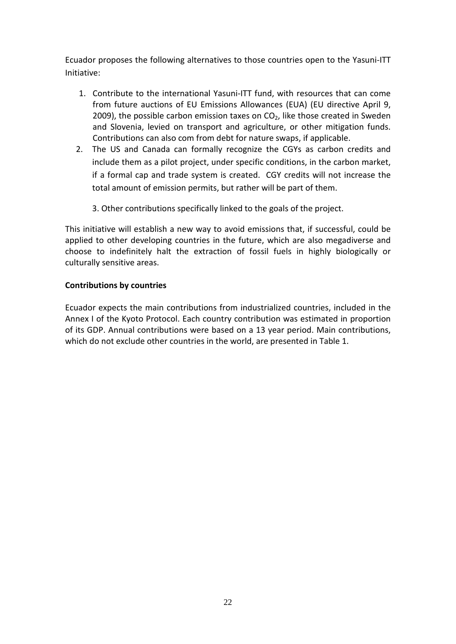Ecuador proposes the following alternatives to those countries open to the Yasuni-ITT Initiative:

- 1. Contribute to the international Yasuni-ITT fund, with resources that can come from future auctions of EU Emissions Allowances (EUA) (EU directive April 9, 2009), the possible carbon emission taxes on  $CO<sub>2</sub>$ , like those created in Sweden and Slovenia, levied on transport and agriculture, or other mitigation funds. Contributions can also com from debt for nature swaps, if applicable.
- 2. The US and Canada can formally recognize the CGYs as carbon credits and include them as a pilot project, under specific conditions, in the carbon market, if a formal cap and trade system is created. CGY credits will not increase the total amount of emission permits, but rather will be part of them.
	- 3. Other contributions specifically linked to the goals of the project.

This initiative will establish a new way to avoid emissions that, if successful, could be applied to other developing countries in the future, which are also megadiverse and choose to indefinitely halt the extraction of fossil fuels in highly biologically or culturally sensitive areas.

### **Contributions by countries**

Ecuador expects the main contributions from industrialized countries, included in the Annex I of the Kyoto Protocol. Each country contribution was estimated in proportion of its GDP. Annual contributions were based on a 13 year period. Main contributions, which do not exclude other countries in the world, are presented in Table 1.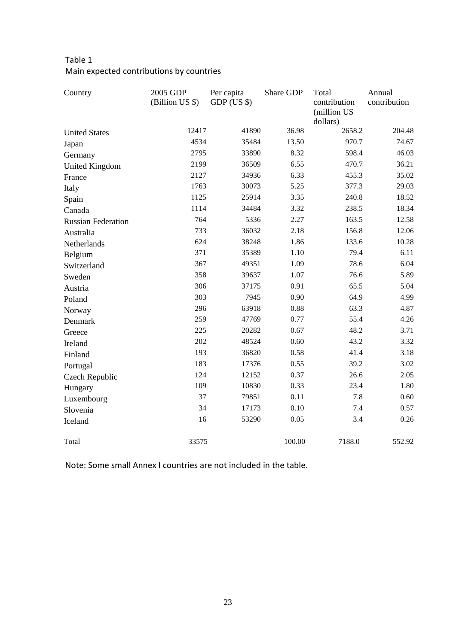## Table 1 Main expected contributions by countries

| Country                   | 2005 GDP<br>(Billion US \$) | Per capita<br>$GDP$ (US \$) | Share GDP | Total<br>contribution<br>(million US<br>dollars) | Annual<br>contribution |
|---------------------------|-----------------------------|-----------------------------|-----------|--------------------------------------------------|------------------------|
| <b>United States</b>      | 12417                       | 41890                       | 36.98     | 2658.2                                           | 204.48                 |
| Japan                     | 4534                        | 35484                       | 13.50     | 970.7                                            | 74.67                  |
| Germany                   | 2795                        | 33890                       | 8.32      | 598.4                                            | 46.03                  |
| <b>United Kingdom</b>     | 2199                        | 36509                       | 6.55      | 470.7                                            | 36.21                  |
| France                    | 2127                        | 34936                       | 6.33      | 455.3                                            | 35.02                  |
| Italy                     | 1763                        | 30073                       | 5.25      | 377.3                                            | 29.03                  |
| Spain                     | 1125                        | 25914                       | 3.35      | 240.8                                            | 18.52                  |
| Canada                    | 1114                        | 34484                       | 3.32      | 238.5                                            | 18.34                  |
| <b>Russian Federation</b> | 764                         | 5336                        | 2.27      | 163.5                                            | 12.58                  |
| Australia                 | 733                         | 36032                       | 2.18      | 156.8                                            | 12.06                  |
| Netherlands               | 624                         | 38248                       | 1.86      | 133.6                                            | 10.28                  |
| Belgium                   | 371                         | 35389                       | 1.10      | 79.4                                             | 6.11                   |
| Switzerland               | 367                         | 49351                       | 1.09      | 78.6                                             | 6.04                   |
| Sweden                    | 358                         | 39637                       | 1.07      | 76.6                                             | 5.89                   |
| Austria                   | 306                         | 37175                       | 0.91      | 65.5                                             | 5.04                   |
| Poland                    | 303                         | 7945                        | 0.90      | 64.9                                             | 4.99                   |
| Norway                    | 296                         | 63918                       | 0.88      | 63.3                                             | 4.87                   |
| Denmark                   | 259                         | 47769                       | 0.77      | 55.4                                             | 4.26                   |
| Greece                    | 225                         | 20282                       | 0.67      | 48.2                                             | 3.71                   |
| Ireland                   | 202                         | 48524                       | 0.60      | 43.2                                             | 3.32                   |
| Finland                   | 193                         | 36820                       | 0.58      | 41.4                                             | 3.18                   |
| Portugal                  | 183                         | 17376                       | 0.55      | 39.2                                             | 3.02                   |
| Czech Republic            | 124                         | 12152                       | 0.37      | 26.6                                             | 2.05                   |
| Hungary                   | 109                         | 10830                       | 0.33      | 23.4                                             | 1.80                   |
| Luxembourg                | 37                          | 79851                       | 0.11      | 7.8                                              | 0.60                   |
| Slovenia                  | 34                          | 17173                       | 0.10      | 7.4                                              | 0.57                   |
| Iceland                   | 16                          | 53290                       | 0.05      | 3.4                                              | 0.26                   |
| Total                     | 33575                       |                             | 100.00    | 7188.0                                           | 552.92                 |

Note: Some small Annex I countries are not included in the table.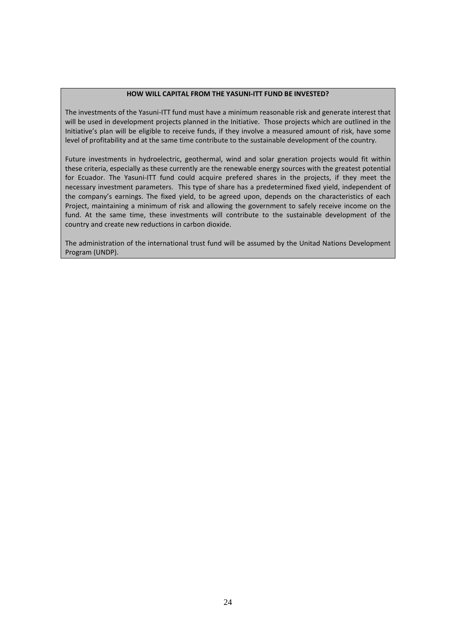#### **HOW WILL CAPITAL FROM THE YASUNI-ITT FUND BE INVESTED?**

The investments of the Yasuni-ITT fund must have a minimum reasonable risk and generate interest that will be used in development projects planned in the Initiative. Those projects which are outlined in the Initiative's plan will be eligible to receive funds, if they involve a measured amount of risk, have some level of profitability and at the same time contribute to the sustainable development of the country.

Future investments in hydroelectric, geothermal, wind and solar gneration projects would fit within these criteria, especially as these currently are the renewable energy sources with the greatest potential for Ecuador. The Yasuni-ITT fund could acquire prefered shares in the projects, if they meet the necessary investment parameters. This type of share has a predetermined fixed yield, independent of the company's earnings. The fixed yield, to be agreed upon, depends on the characteristics of each Project, maintaining a minimum of risk and allowing the government to safely receive income on the fund. At the same time, these investments will contribute to the sustainable development of the country and create new reductions in carbon dioxide.

The administration of the international trust fund will be assumed by the Unitad Nations Development Program (UNDP).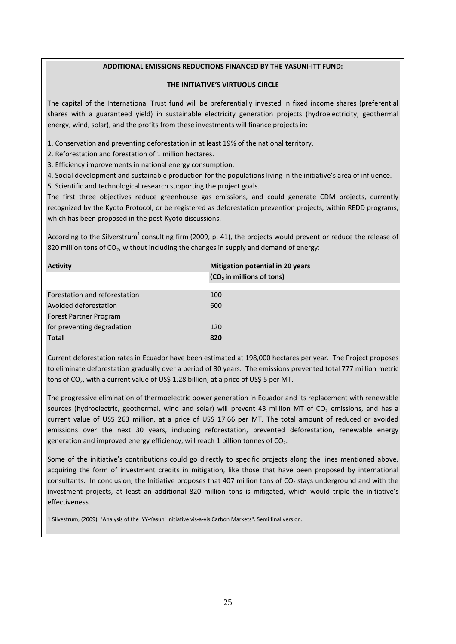#### **ADDITIONAL EMISSIONS REDUCTIONS FINANCED BY THE YASUNI-ITT FUND:**

#### **THE INITIATIVE'S VIRTUOUS CIRCLE**

The capital of the International Trust fund will be preferentially invested in fixed income shares (preferential shares with a guaranteed yield) in sustainable electricity generation projects (hydroelectricity, geothermal energy, wind, solar), and the profits from these investments will finance projects in:

1. Conservation and preventing deforestation in at least 19% of the national territory.

2. Reforestation and forestation of 1 million hectares.

3. Efficiency improvements in national energy consumption.

4. Social development and sustainable production for the populations living in the initiative's area of influence.

5. Scientific and technological research supporting the project goals.

The first three objectives reduce greenhouse gas emissions, and could generate CDM projects, currently recognized by the Kyoto Protocol, or be registered as deforestation prevention projects, within REDD programs, which has been proposed in the post-Kyoto discussions.

According to the Silverstrum<sup>1</sup> consulting firm (2009, p. 41), the projects would prevent or reduce the release of 820 million tons of  $CO<sub>2</sub>$ , without including the changes in supply and demand of energy:

| <b>Activity</b>               | <b>Mitigation potential in 20 years</b> |
|-------------------------------|-----------------------------------------|
|                               | $(CO2$ in millions of tons)             |
|                               |                                         |
| Forestation and reforestation | 100                                     |
| Avoided deforestation         | 600                                     |
| Forest Partner Program        |                                         |
| for preventing degradation    | 120                                     |
| <b>Total</b>                  | 820                                     |
|                               |                                         |

Current deforestation rates in Ecuador have been estimated at 198,000 hectares per year. The Project proposes to eliminate deforestation gradually over a period of 30 years. The emissions prevented total 777 million metric tons of CO<sub>2</sub>, with a current value of US\$ 1.28 billion, at a price of US\$ 5 per MT.

The progressive elimination of thermoelectric power generation in Ecuador and its replacement with renewable sources (hydroelectric, geothermal, wind and solar) will prevent 43 million MT of  $CO<sub>2</sub>$  emissions, and has a current value of US\$ 263 million, at a price of US\$ 17.66 per MT. The total amount of reduced or avoided emissions over the next 30 years, including reforestation, prevented deforestation, renewable energy generation and improved energy efficiency, will reach 1 billion tonnes of  $CO<sub>2</sub>$ .

Some of the initiative's contributions could go directly to specific projects along the lines mentioned above, acquiring the form of investment credits in mitigation, like those that have been proposed by international consultants. In conclusion, the Initiative proposes that 407 million tons of  $CO<sub>2</sub>$  stays underground and with the investment projects, at least an additional 820 million tons is mitigated, which would triple the initiative's effectiveness.

1 Silvestrum, (2009). "Analysis of the IYY-Yasuni Initiative vis-a-vis Carbon Markets"*.* Semi final version.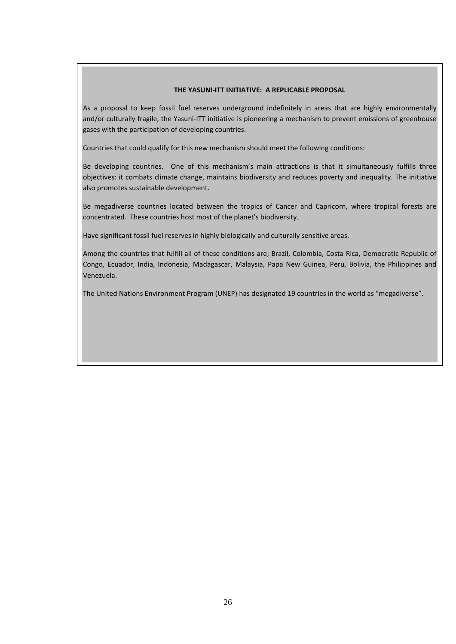#### **THE YASUNI-ITT INITIATIVE: A REPLICABLE PROPOSAL**

As a proposal to keep fossil fuel reserves underground indefinitely in areas that are highly environmentally and/or culturally fragile, the Yasuni-ITT initiative is pioneering a mechanism to prevent emissions of greenhouse gases with the participation of developing countries.

Countries that could qualify for this new mechanism should meet the following conditions:

Be developing countries. One of this mechanism's main attractions is that it simultaneously fulfills three objectives: it combats climate change, maintains biodiversity and reduces poverty and inequality. The initiative also promotes sustainable development.

Be megadiverse countries located between the tropics of Cancer and Capricorn, where tropical forests are concentrated. These countries host most of the planet's biodiversity.

Have significant fossil fuel reserves in highly biologically and culturally sensitive areas.

Among the countries that fulfill all of these conditions are; Brazil, Colombia, Costa Rica, Democratic Republic of Congo, Ecuador, India, Indonesia, Madagascar, Malaysia, Papa New Guinea, Peru, Bolivia, the Philippines and Venezuela.

The United Nations Environment Program (UNEP) has designated 19 countries in the world as "megadiverse".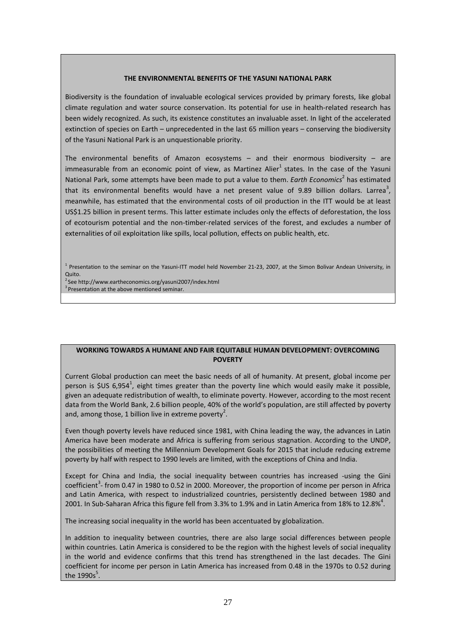#### **THE ENVIRONMENTAL BENEFITS OF THE YASUNI NATIONAL PARK**

Biodiversity is the foundation of invaluable ecological services provided by primary forests, like global climate regulation and water source conservation. Its potential for use in health-related research has been widely recognized. As such, its existence constitutes an invaluable asset. In light of the accelerated extinction of species on Earth – unprecedented in the last 65 million years – conserving the biodiversity of the Yasuni National Park is an unquestionable priority.

The environmental benefits of Amazon ecosystems – and their enormous biodiversity – are immeasurable from an economic point of view, as Martinez Alier<sup>1</sup> states. In the case of the Yasuni National Park, some attempts have been made to put a value to them. *Earth Economics*<sup>2</sup> has estimated that its environmental benefits would have a net present value of 9.89 billion dollars. Larrea<sup>3</sup>, meanwhile, has estimated that the environmental costs of oil production in the ITT would be at least US\$1.25 billion in present terms. This latter estimate includes only the effects of deforestation, the loss of ecotourism potential and the non-timber-related services of the forest, and excludes a number of externalities of oil exploitation like spills, local pollution, effects on public health, etc.

 $1$  Presentation to the seminar on the Yasuni-ITT model held November 21-23, 2007, at the Simon Bolivar Andean University, in Quito.

2 See http://www.eartheconomics.org/yasuni2007/index.html <sup>3</sup> Presentation at the above mentioned seminar.

#### **WORKING TOWARDS A HUMANE AND FAIR EQUITABLE HUMAN DEVELOPMENT: OVERCOMING POVERTY**

Current Global production can meet the basic needs of all of humanity. At present, global income per person is \$US 6,954<sup>1</sup>, eight times greater than the poverty line which would easily make it possible, given an adequate redistribution of wealth, to eliminate poverty. However, according to the most recent data from the World Bank, 2.6 billion people, 40% of the world's population, are still affected by poverty and, among those, 1 billion live in extreme poverty<sup>2</sup>.

Even though poverty levels have reduced since 1981, with China leading the way, the advances in Latin America have been moderate and Africa is suffering from serious stagnation. According to the UNDP, the possibilities of meeting the Millennium Development Goals for 2015 that include reducing extreme poverty by half with respect to 1990 levels are limited, with the exceptions of China and India.

Except for China and India, the social inequality between countries has increased -using the Gini coefficient<sup>3</sup>- from 0.47 in 1980 to 0.52 in 2000. Moreover, the proportion of income per person in Africa and Latin America, with respect to industrialized countries, persistently declined between 1980 and 2001. In Sub-Saharan Africa this figure fell from 3.3% to 1.9% and in Latin America from 18% to 12.8%<sup>4</sup>.

The increasing social inequality in the world has been accentuated by globalization.

In addition to inequality between countries, there are also large social differences between people within countries. Latin America is considered to be the region with the highest levels of social inequality in the world and evidence confirms that this trend has strengthened in the last decades. The Gini coefficient for income per person in Latin America has increased from 0.48 in the 1970s to 0.52 during the 1990s $^{5}$ .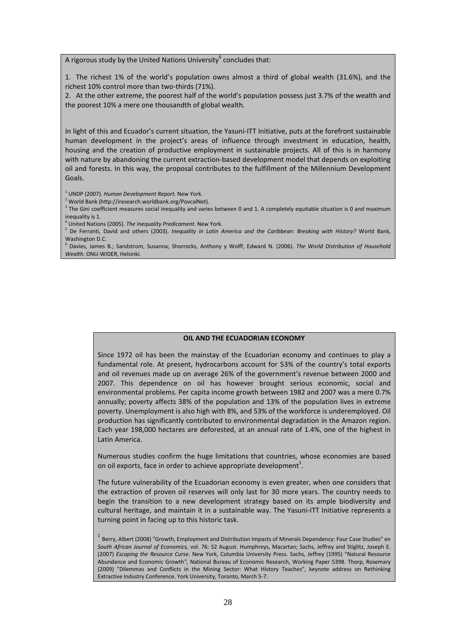A rigorous study by the United Nations University $^6$  concludes that:

1. The richest 1% of the world's population owns almost a third of global wealth (31.6%), and the richest 10% control more than two-thirds (71%).

2. At the other extreme, the poorest half of the world's population possess just 3.7% of the wealth and the poorest 10% a mere one thousandth of global wealth.

In light of this and Ecuador's current situation, the Yasuni-ITT Initiative, puts at the forefront sustainable human development in the project's areas of influence through investment in education, health, housing and the creation of productive employment in sustainable projects. All of this is in harmony with nature by abandoning the current extraction-based development model that depends on exploiting oil and forests. In this way, the proposal contributes to the fulfillment of the Millennium Development Goals.

<sup>1</sup> UNDP (2007). *Human Development Report.* New York.

<sup>2</sup> World Bank (http://iresearch.worldbank.org/PovcalNet).

 $3$  The Gini coefficient measures social inequality and varies between 0 and 1. A completely equitable situation is 0 and maximum inequality is 1.

<sup>4</sup> United Nations (2005). *The Inequality Predicament.* New York.

<sup>5</sup> De Ferranti, David and others (2003). *Inequality in Latin America and the Caribbean: Breaking with History?* World Bank, Washington D.C.

<sup>6</sup> Davies, James B.; Sandstrom, Susanna; Shorrocks, Anthony y Wolff, Edward N. (2006). *The World Distribution of Household Wealth.* ONU-WIDER, Helsinki.

#### **OIL AND THE ECUADORIAN ECONOMY**

Since 1972 oil has been the mainstay of the Ecuadorian economy and continues to play a fundamental role. At present, hydrocarbons account for 53% of the country's total exports and oil revenues made up on average 26% of the government's revenue between 2000 and 2007. This dependence on oil has however brought serious economic, social and environmental problems. Per capita income growth between 1982 and 2007 was a mere 0.7% annually; poverty affects 38% of the population and 13% of the population lives in extreme poverty. Unemployment is also high with 8%, and 53% of the workforce is underemployed. Oil production has significantly contributed to environmental degradation in the Amazon region. Each year 198,000 hectares are deforested, at an annual rate of 1.4%, one of the highest in Latin America.

Numerous studies confirm the huge limitations that countries, whose economies are based on oil exports, face in order to achieve appropriate development<sup>1</sup>.

The future vulnerability of the Ecuadorian economy is even greater, when one considers that the extraction of proven oil reserves will only last for 30 more years. The country needs to begin the transition to a new development strategy based on its ample biodiversity and cultural heritage, and maintain it in a sustainable way. The Yasuni-ITT Initiative represents a turning point in facing up to this historic task.

 $1$  Berry, Albert (2008) "Growth, Employment and Distribution Impacts of Minerals Dependency: Four Case Studies" en *South African Journal of Economics,* vol. 76: S2 August. Humphreys, Macartan; Sachs, Jeffrey and Stiglitz, Joseph E. (2007) *Escaping the Resource Curse*. New York, Columbia University Press. Sachs, Jeffrey (1995) "Natural Resource Abundance and Economic Growth*",* National Bureau of Economic Research, Working Paper 5398. Thorp, Rosemary (2009) "Dilemmas and Conflicts in the Mining Sector: What History Teaches", keynote address on Rethinking Extractive Industry Conference. York University, Toronto, March 5-7.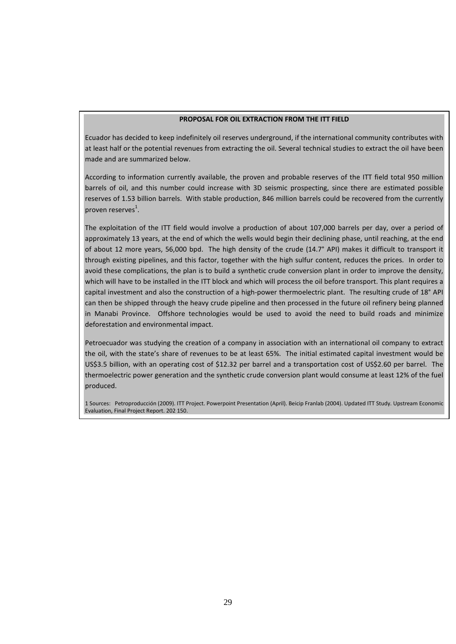#### **PROPOSAL FOR OIL EXTRACTION FROM THE ITT FIELD**

Ecuador has decided to keep indefinitely oil reserves underground, if the international community contributes with at least half or the potential revenues from extracting the oil. Several technical studies to extract the oil have been made and are summarized below.

According to information currently available, the proven and probable reserves of the ITT field total 950 million barrels of oil, and this number could increase with 3D seismic prospecting, since there are estimated possible reserves of 1.53 billion barrels. With stable production, 846 million barrels could be recovered from the currently proven reserves<sup>1</sup>.

The exploitation of the ITT field would involve a production of about 107,000 barrels per day, over a period of approximately 13 years, at the end of which the wells would begin their declining phase, until reaching, at the end of about 12 more years, 56,000 bpd. The high density of the crude (14.7° API) makes it difficult to transport it through existing pipelines, and this factor, together with the high sulfur content, reduces the prices. In order to avoid these complications, the plan is to build a synthetic crude conversion plant in order to improve the density, which will have to be installed in the ITT block and which will process the oil before transport. This plant requires a capital investment and also the construction of a high-power thermoelectric plant. The resulting crude of 18° API can then be shipped through the heavy crude pipeline and then processed in the future oil refinery being planned in Manabi Province. Offshore technologies would be used to avoid the need to build roads and minimize deforestation and environmental impact.

Petroecuador was studying the creation of a company in association with an international oil company to extract the oil, with the state's share of revenues to be at least 65%. The initial estimated capital investment would be US\$3.5 billion, with an operating cost of \$12.32 per barrel and a transportation cost of US\$2.60 per barrel. The thermoelectric power generation and the synthetic crude conversion plant would consume at least 12% of the fuel produced.

1 Sources: Petroproducción (2009). ITT Project. Powerpoint Presentation (April). Beicip Franlab (2004). Updated ITT Study. Upstream Economic Evaluation, Final Project Report. 202 150.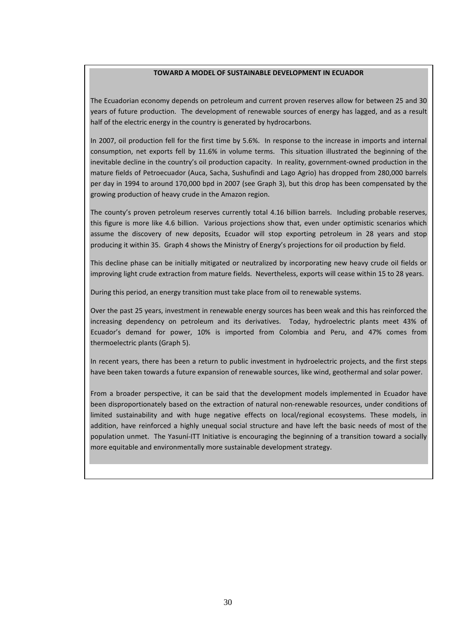#### **TOWARD A MODEL OF SUSTAINABLE DEVELOPMENT IN ECUADOR**

The Ecuadorian economy depends on petroleum and current proven reserves allow for between 25 and 30 years of future production. The development of renewable sources of energy has lagged, and as a result half of the electric energy in the country is generated by hydrocarbons.

In 2007, oil production fell for the first time by 5.6%. In response to the increase in imports and internal consumption, net exports fell by 11.6% in volume terms. This situation illustrated the beginning of the inevitable decline in the country's oil production capacity. In reality, government-owned production in the mature fields of Petroecuador (Auca, Sacha, Sushufindi and Lago Agrio) has dropped from 280,000 barrels per day in 1994 to around 170,000 bpd in 2007 (see Graph 3), but this drop has been compensated by the growing production of heavy crude in the Amazon region.

The county's proven petroleum reserves currently total 4.16 billion barrels. Including probable reserves, this figure is more like 4.6 billion. Various projections show that, even under optimistic scenarios which assume the discovery of new deposits, Ecuador will stop exporting petroleum in 28 years and stop producing it within 35. Graph 4 shows the Ministry of Energy's projections for oil production by field.

This decline phase can be initially mitigated or neutralized by incorporating new heavy crude oil fields or improving light crude extraction from mature fields. Nevertheless, exports will cease within 15 to 28 years.

During this period, an energy transition must take place from oil to renewable systems.

Over the past 25 years, investment in renewable energy sources has been weak and this has reinforced the increasing dependency on petroleum and its derivatives. Today, hydroelectric plants meet 43% of Ecuador's demand for power, 10% is imported from Colombia and Peru, and 47% comes from thermoelectric plants (Graph 5).

In recent years, there has been a return to public investment in hydroelectric projects, and the first steps have been taken towards a future expansion of renewable sources, like wind, geothermal and solar power.

From a broader perspective, it can be said that the development models implemented in Ecuador have been disproportionately based on the extraction of natural non-renewable resources, under conditions of limited sustainability and with huge negative effects on local/regional ecosystems. These models, in addition, have reinforced a highly unequal social structure and have left the basic needs of most of the population unmet. The Yasuní-ITT Initiative is encouraging the beginning of a transition toward a socially more equitable and environmentally more sustainable development strategy.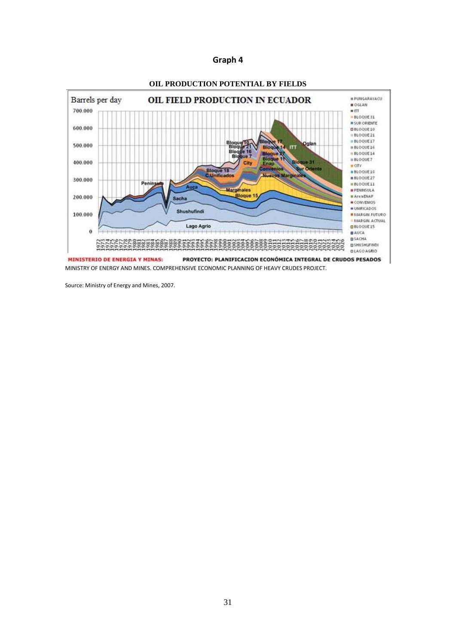

MINISTRY OF ENERGY AND MINES. COMPREHENSIVE ECONOMIC PLANNING OF HEAVY CRUDES PROJECT.

Source: Ministry of Energy and Mines, 2007.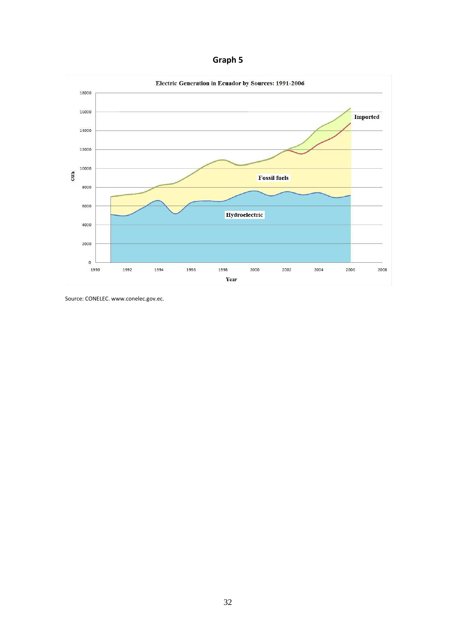

Source: CONELEC. www.conelec.gov.ec.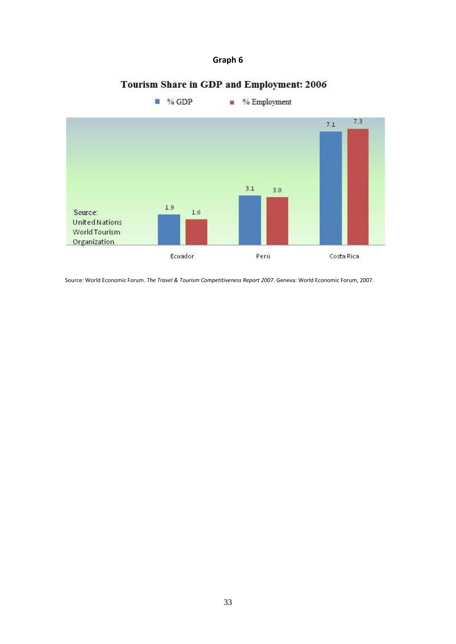# Tourism Share in GDP and Employment: 2006



Source: World Economic Forum. *The Travel & Tourism Competitiveness Report 2007*. Geneva: World Economic Forum, 2007.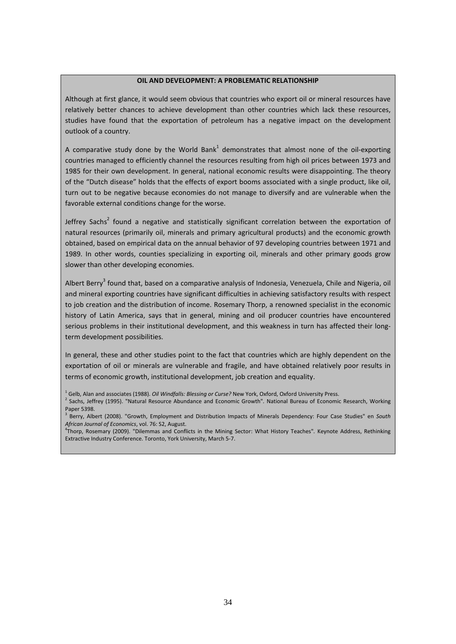#### **OIL AND DEVELOPMENT: A PROBLEMATIC RELATIONSHIP**

Although at first glance, it would seem obvious that countries who export oil or mineral resources have relatively better chances to achieve development than other countries which lack these resources, studies have found that the exportation of petroleum has a negative impact on the development outlook of a country.

A comparative study done by the World Bank<sup>1</sup> demonstrates that almost none of the oil-exporting countries managed to efficiently channel the resources resulting from high oil prices between 1973 and 1985 for their own development. In general, national economic results were disappointing. The theory of the "Dutch disease" holds that the effects of export booms associated with a single product, like oil, turn out to be negative because economies do not manage to diversify and are vulnerable when the favorable external conditions change for the worse.

Jeffrey Sachs<sup>2</sup> found a negative and statistically significant correlation between the exportation of natural resources (primarily oil, minerals and primary agricultural products) and the economic growth obtained, based on empirical data on the annual behavior of 97 developing countries between 1971 and 1989. In other words, counties specializing in exporting oil, minerals and other primary goods grow slower than other developing economies.

Albert Berry<sup>3</sup> found that, based on a comparative analysis of Indonesia, Venezuela, Chile and Nigeria, oil and mineral exporting countries have significant difficulties in achieving satisfactory results with respect to job creation and the distribution of income. Rosemary Thorp, a renowned specialist in the economic history of Latin America, says that in general, mining and oil producer countries have encountered serious problems in their institutional development, and this weakness in turn has affected their longterm development possibilities.

In general, these and other studies point to the fact that countries which are highly dependent on the exportation of oil or minerals are vulnerable and fragile, and have obtained relatively poor results in terms of economic growth, institutional development, job creation and equality.

<sup>1</sup> Gelb, Alan and associates (1988). *Oil Windfalls: Blessing or Curse?* New York, Oxford, Oxford University Press.

<sup>2</sup> Sachs, Jeffrey (1995). "Natural Resource Abundance and Economic Growth"*.* National Bureau of Economic Research, Working Paper 5398.

4 Thorp, Rosemary (2009). "Dilemmas and Conflicts in the Mining Sector: What History Teaches"*.* Keynote Address, Rethinking Extractive Industry Conference. Toronto, York University, March 5-7.

<sup>3</sup> Berry, Albert (2008). "Growth, Employment and Distribution Impacts of Minerals Dependency: Four Case Studies" en *South African Journal of Economics*, vol. 76: S2, August.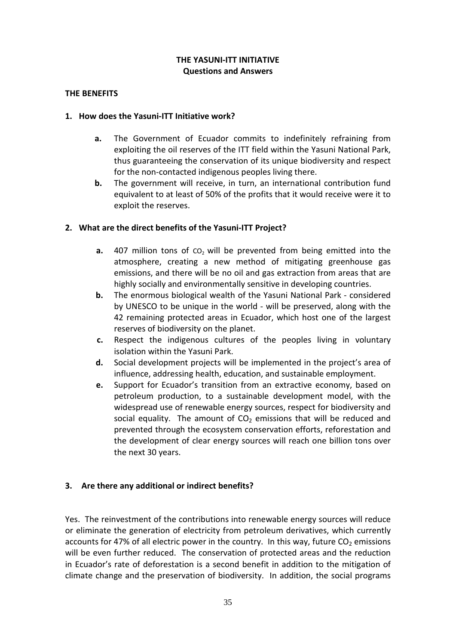#### **THE YASUNI-ITT INITIATIVE Questions and Answers**

#### **THE BENEFITS**

#### **1. How does the Yasuni-ITT Initiative work?**

- **a.** The Government of Ecuador commits to indefinitely refraining from exploiting the oil reserves of the ITT field within the Yasuni National Park, thus guaranteeing the conservation of its unique biodiversity and respect for the non-contacted indigenous peoples living there.
- **b.** The government will receive, in turn, an international contribution fund equivalent to at least of 50% of the profits that it would receive were it to exploit the reserves.

### **2. What are the direct benefits of the Yasuni-ITT Project?**

- **a.** 407 million tons of co<sub>2</sub> will be prevented from being emitted into the atmosphere, creating a new method of mitigating greenhouse gas emissions, and there will be no oil and gas extraction from areas that are highly socially and environmentally sensitive in developing countries.
- **b.** The enormous biological wealth of the Yasuni National Park considered by UNESCO to be unique in the world - will be preserved, along with the 42 remaining protected areas in Ecuador, which host one of the largest reserves of biodiversity on the planet.
- **c.** Respect the indigenous cultures of the peoples living in voluntary isolation within the Yasuni Park.
- **d.** Social development projects will be implemented in the project's area of influence, addressing health, education, and sustainable employment.
- **e.** Support for Ecuador's transition from an extractive economy, based on petroleum production, to a sustainable development model, with the widespread use of renewable energy sources, respect for biodiversity and social equality. The amount of  $CO<sub>2</sub>$  emissions that will be reduced and prevented through the ecosystem conservation efforts, reforestation and the development of clear energy sources will reach one billion tons over the next 30 years.

### **3. Are there any additional or indirect benefits?**

Yes. The reinvestment of the contributions into renewable energy sources will reduce or eliminate the generation of electricity from petroleum derivatives, which currently accounts for 47% of all electric power in the country. In this way, future  $CO<sub>2</sub>$  emissions will be even further reduced. The conservation of protected areas and the reduction in Ecuador's rate of deforestation is a second benefit in addition to the mitigation of climate change and the preservation of biodiversity. In addition, the social programs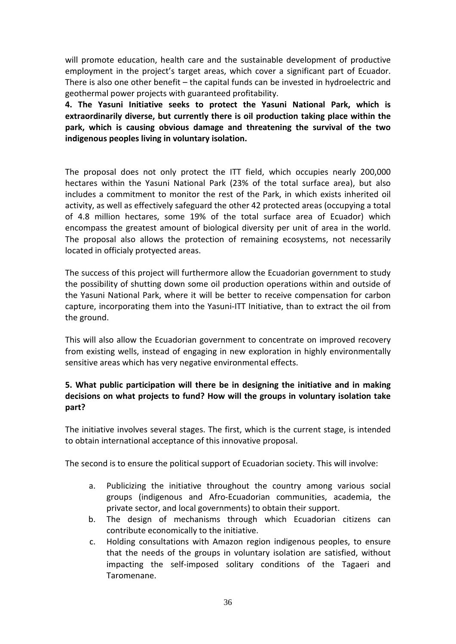will promote education, health care and the sustainable development of productive employment in the project's target areas, which cover a significant part of Ecuador. There is also one other benefit – the capital funds can be invested in hydroelectric and geothermal power projects with guaranteed profitability.

**4. The Yasuni Initiative seeks to protect the Yasuni National Park, which is extraordinarily diverse, but currently there is oil production taking place within the park, which is causing obvious damage and threatening the survival of the two indigenous peoples living in voluntary isolation.** 

The proposal does not only protect the ITT field, which occupies nearly 200,000 hectares within the Yasuni National Park (23% of the total surface area), but also includes a commitment to monitor the rest of the Park, in which exists inherited oil activity, as well as effectively safeguard the other 42 protected areas (occupying a total of 4.8 million hectares, some 19% of the total surface area of Ecuador) which encompass the greatest amount of biological diversity per unit of area in the world. The proposal also allows the protection of remaining ecosystems, not necessarily located in officialy protyected areas.

The success of this project will furthermore allow the Ecuadorian government to study the possibility of shutting down some oil production operations within and outside of the Yasuni National Park, where it will be better to receive compensation for carbon capture, incorporating them into the Yasuni-ITT Initiative, than to extract the oil from the ground.

This will also allow the Ecuadorian government to concentrate on improved recovery from existing wells, instead of engaging in new exploration in highly environmentally sensitive areas which has very negative environmental effects.

## **5. What public participation will there be in designing the initiative and in making decisions on what projects to fund? How will the groups in voluntary isolation take part?**

The initiative involves several stages. The first, which is the current stage, is intended to obtain international acceptance of this innovative proposal.

The second is to ensure the political support of Ecuadorian society. This will involve:

- a. Publicizing the initiative throughout the country among various social groups (indigenous and Afro-Ecuadorian communities, academia, the private sector, and local governments) to obtain their support.
- b. The design of mechanisms through which Ecuadorian citizens can contribute economically to the initiative.
- c. Holding consultations with Amazon region indigenous peoples, to ensure that the needs of the groups in voluntary isolation are satisfied, without impacting the self-imposed solitary conditions of the Tagaeri and Taromenane.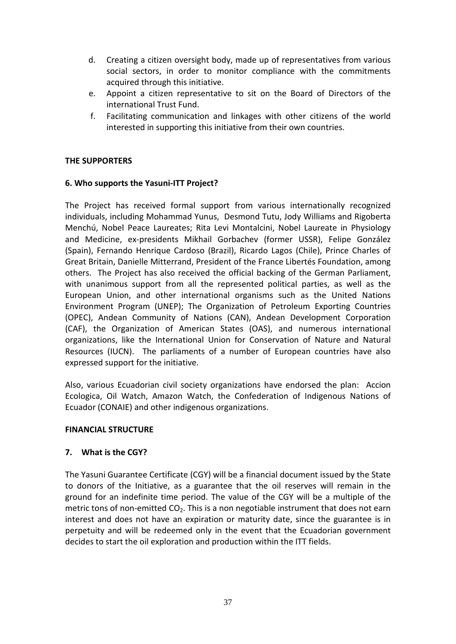- d. Creating a citizen oversight body, made up of representatives from various social sectors, in order to monitor compliance with the commitments acquired through this initiative.
- e. Appoint a citizen representative to sit on the Board of Directors of the international Trust Fund.
- f. Facilitating communication and linkages with other citizens of the world interested in supporting this initiative from their own countries.

#### **THE SUPPORTERS**

### **6. Who supports the Yasuni-ITT Project?**

The Project has received formal support from various internationally recognized individuals, including Mohammad Yunus, Desmond Tutu, Jody Williams and Rigoberta Menchú, Nobel Peace Laureates; Rita Levi Montalcini, Nobel Laureate in Physiology and Medicine, ex-presidents Mikhail Gorbachev (former USSR), Felipe González (Spain), Fernando Henrique Cardoso (Brazil), Ricardo Lagos (Chile), Prince Charles of Great Britain, Danielle Mitterrand, President of the France Libertés Foundation, among others. The Project has also received the official backing of the German Parliament, with unanimous support from all the represented political parties, as well as the European Union, and other international organisms such as the United Nations Environment Program (UNEP); The Organization of Petroleum Exporting Countries (OPEC), Andean Community of Nations (CAN), Andean Development Corporation (CAF), the Organization of American States (OAS), and numerous international organizations, like the International Union for Conservation of Nature and Natural Resources (IUCN). The parliaments of a number of European countries have also expressed support for the initiative.

Also, various Ecuadorian civil society organizations have endorsed the plan: Accion Ecologica, Oil Watch, Amazon Watch, the Confederation of Indigenous Nations of Ecuador (CONAIE) and other indigenous organizations.

#### **FINANCIAL STRUCTURE**

### **7. What is the CGY?**

The Yasuni Guarantee Certificate (CGY) will be a financial document issued by the State to donors of the Initiative, as a guarantee that the oil reserves will remain in the ground for an indefinite time period. The value of the CGY will be a multiple of the metric tons of non-emitted  $CO<sub>2</sub>$ . This is a non negotiable instrument that does not earn interest and does not have an expiration or maturity date, since the guarantee is in perpetuity and will be redeemed only in the event that the Ecuadorian government decides to start the oil exploration and production within the ITT fields.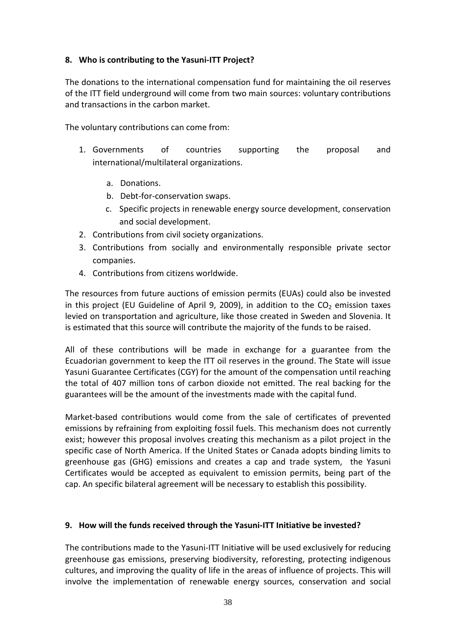### **8. Who is contributing to the Yasuni-ITT Project?**

The donations to the international compensation fund for maintaining the oil reserves of the ITT field underground will come from two main sources: voluntary contributions and transactions in the carbon market.

The voluntary contributions can come from:

- 1. Governments of countries supporting the proposal and international/multilateral organizations.
	- a. Donations.
	- b. Debt-for-conservation swaps.
	- c. Specific projects in renewable energy source development, conservation and social development.
- 2. Contributions from civil society organizations.
- 3. Contributions from socially and environmentally responsible private sector companies.
- 4. Contributions from citizens worldwide.

The resources from future auctions of emission permits (EUAs) could also be invested in this project (EU Guideline of April 9, 2009), in addition to the  $CO<sub>2</sub>$  emission taxes levied on transportation and agriculture, like those created in Sweden and Slovenia. It is estimated that this source will contribute the majority of the funds to be raised.

All of these contributions will be made in exchange for a guarantee from the Ecuadorian government to keep the ITT oil reserves in the ground. The State will issue Yasuni Guarantee Certificates (CGY) for the amount of the compensation until reaching the total of 407 million tons of carbon dioxide not emitted. The real backing for the guarantees will be the amount of the investments made with the capital fund.

Market-based contributions would come from the sale of certificates of prevented emissions by refraining from exploiting fossil fuels. This mechanism does not currently exist; however this proposal involves creating this mechanism as a pilot project in the specific case of North America. If the United States or Canada adopts binding limits to greenhouse gas (GHG) emissions and creates a cap and trade system, the Yasuni Certificates would be accepted as equivalent to emission permits, being part of the cap. An specific bilateral agreement will be necessary to establish this possibility.

#### **9. How will the funds received through the Yasuni-ITT Initiative be invested?**

The contributions made to the Yasuni-ITT Initiative will be used exclusively for reducing greenhouse gas emissions, preserving biodiversity, reforesting, protecting indigenous cultures, and improving the quality of life in the areas of influence of projects. This will involve the implementation of renewable energy sources, conservation and social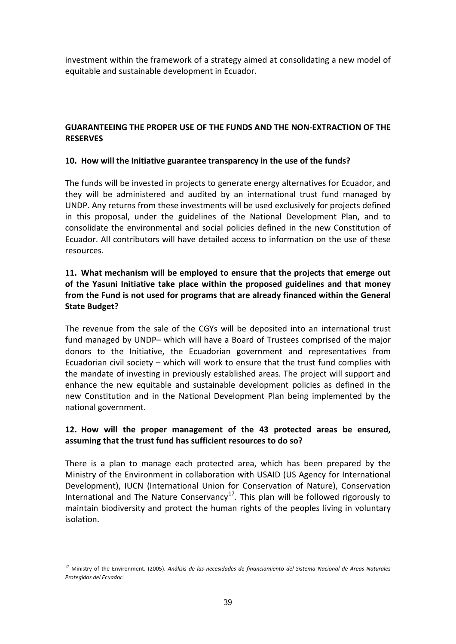investment within the framework of a strategy aimed at consolidating a new model of equitable and sustainable development in Ecuador.

### **GUARANTEEING THE PROPER USE OF THE FUNDS AND THE NON-EXTRACTION OF THE RESERVES**

#### **10. How will the Initiative guarantee transparency in the use of the funds?**

The funds will be invested in projects to generate energy alternatives for Ecuador, and they will be administered and audited by an international trust fund managed by UNDP. Any returns from these investments will be used exclusively for projects defined in this proposal, under the guidelines of the National Development Plan, and to consolidate the environmental and social policies defined in the new Constitution of Ecuador. All contributors will have detailed access to information on the use of these resources.

## **11. What mechanism will be employed to ensure that the projects that emerge out of the Yasuni Initiative take place within the proposed guidelines and that money from the Fund is not used for programs that are already financed within the General State Budget?**

The revenue from the sale of the CGYs will be deposited into an international trust fund managed by UNDP– which will have a Board of Trustees comprised of the major donors to the Initiative, the Ecuadorian government and representatives from Ecuadorian civil society – which will work to ensure that the trust fund complies with the mandate of investing in previously established areas. The project will support and enhance the new equitable and sustainable development policies as defined in the new Constitution and in the National Development Plan being implemented by the national government.

## **12. How will the proper management of the 43 protected areas be ensured, assuming that the trust fund has sufficient resources to do so?**

There is a plan to manage each protected area, which has been prepared by the Ministry of the Environment in collaboration with USAID (US Agency for International Development), IUCN (International Union for Conservation of Nature), Conservation International and The Nature Conservancy<sup>[17](#page-39-0)</sup>. This plan will be followed rigorously to maintain biodiversity and protect the human rights of the peoples living in voluntary isolation.

<span id="page-39-0"></span> <sup>17</sup> Ministry of the Environment. (2005). *Análisis de las necesidades de financiamiento del Sistema Nacional de Áreas Naturales Protegidas del Ecuador*.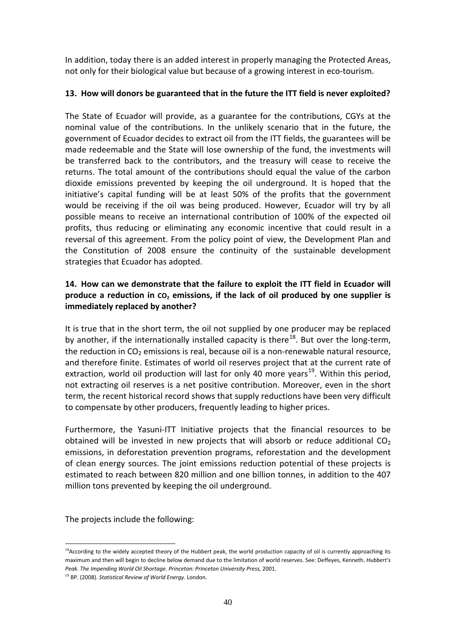In addition, today there is an added interest in properly managing the Protected Areas, not only for their biological value but because of a growing interest in eco-tourism.

### **13. How will donors be guaranteed that in the future the ITT field is never exploited?**

The State of Ecuador will provide, as a guarantee for the contributions, CGYs at the nominal value of the contributions. In the unlikely scenario that in the future, the government of Ecuador decides to extract oil from the ITT fields, the guarantees will be made redeemable and the State will lose ownership of the fund, the investments will be transferred back to the contributors, and the treasury will cease to receive the returns. The total amount of the contributions should equal the value of the carbon dioxide emissions prevented by keeping the oil underground. It is hoped that the initiative's capital funding will be at least 50% of the profits that the government would be receiving if the oil was being produced. However, Ecuador will try by all possible means to receive an international contribution of 100% of the expected oil profits, thus reducing or eliminating any economic incentive that could result in a reversal of this agreement. From the policy point of view, the Development Plan and the Constitution of 2008 ensure the continuity of the sustainable development strategies that Ecuador has adopted.

### **14. How can we demonstrate that the failure to exploit the ITT field in Ecuador will**  produce a reduction in  $CO<sub>2</sub>$  emissions, if the lack of oil produced by one supplier is **immediately replaced by another?**

It is true that in the short term, the oil not supplied by one producer may be replaced by another, if the internationally installed capacity is there<sup>[18](#page-40-0)</sup>. But over the long-term, the reduction in  $CO<sub>2</sub>$  emissions is real, because oil is a non-renewable natural resource, and therefore finite. Estimates of world oil reserves project that at the current rate of extraction, world oil production will last for only 40 more years<sup>[19](#page-40-1)</sup>. Within this period, not extracting oil reserves is a net positive contribution. Moreover, even in the short term, the recent historical record shows that supply reductions have been very difficult to compensate by other producers, frequently leading to higher prices.

Furthermore, the Yasuni-ITT Initiative projects that the financial resources to be obtained will be invested in new projects that will absorb or reduce additional  $CO<sub>2</sub>$ emissions, in deforestation prevention programs, reforestation and the development of clean energy sources. The joint emissions reduction potential of these projects is estimated to reach between 820 million and one billion tonnes, in addition to the 407 million tons prevented by keeping the oil underground.

The projects include the following:

<span id="page-40-0"></span> $18$ According to the widely accepted theory of the Hubbert peak, the world production capacity of oil is currently approaching its maximum and then will begin to decline below demand due to the limitation of world reserves. See: Deffeyes, Kenneth. *Hubbert's Peak. The Impending World Oil Shortage. Princeton: Princeton University Press,* 2001.

<span id="page-40-1"></span><sup>19</sup> BP. (2008). *Statistical Review of World Energy.* London.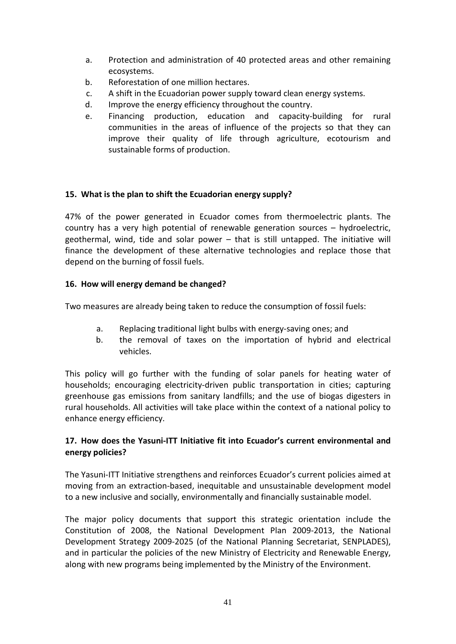- a. Protection and administration of 40 protected areas and other remaining ecosystems.
- b. Reforestation of one million hectares.
- c. A shift in the Ecuadorian power supply toward clean energy systems.
- d. Improve the energy efficiency throughout the country.
- e. Financing production, education and capacity-building for rural communities in the areas of influence of the projects so that they can improve their quality of life through agriculture, ecotourism and sustainable forms of production.

### **15. What is the plan to shift the Ecuadorian energy supply?**

47% of the power generated in Ecuador comes from thermoelectric plants. The country has a very high potential of renewable generation sources – hydroelectric, geothermal, wind, tide and solar power – that is still untapped. The initiative will finance the development of these alternative technologies and replace those that depend on the burning of fossil fuels.

## **16. How will energy demand be changed?**

Two measures are already being taken to reduce the consumption of fossil fuels:

- a. Replacing traditional light bulbs with energy-saving ones; and
- b. the removal of taxes on the importation of hybrid and electrical vehicles.

This policy will go further with the funding of solar panels for heating water of households; encouraging electricity-driven public transportation in cities; capturing greenhouse gas emissions from sanitary landfills; and the use of biogas digesters in rural households. All activities will take place within the context of a national policy to enhance energy efficiency.

## **17. How does the Yasuni-ITT Initiative fit into Ecuador's current environmental and energy policies?**

The Yasuni-ITT Initiative strengthens and reinforces Ecuador's current policies aimed at moving from an extraction-based, inequitable and unsustainable development model to a new inclusive and socially, environmentally and financially sustainable model.

The major policy documents that support this strategic orientation include the Constitution of 2008, the National Development Plan 2009-2013, the National Development Strategy 2009-2025 (of the National Planning Secretariat, SENPLADES), and in particular the policies of the new Ministry of Electricity and Renewable Energy, along with new programs being implemented by the Ministry of the Environment.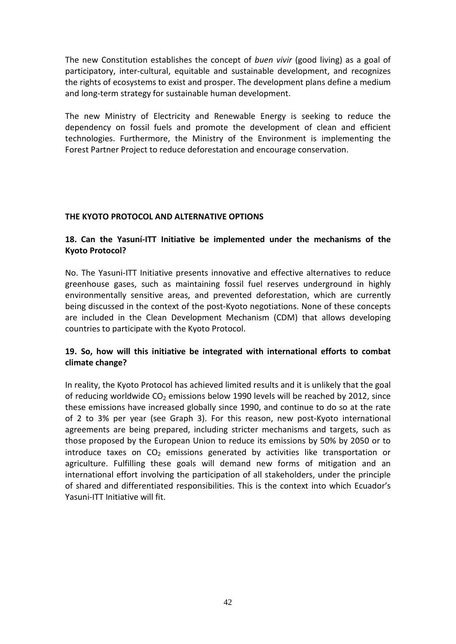The new Constitution establishes the concept of *buen vivir* (good living) as a goal of participatory, inter-cultural, equitable and sustainable development, and recognizes the rights of ecosystems to exist and prosper. The development plans define a medium and long-term strategy for sustainable human development.

The new Ministry of Electricity and Renewable Energy is seeking to reduce the dependency on fossil fuels and promote the development of clean and efficient technologies. Furthermore, the Ministry of the Environment is implementing the Forest Partner Project to reduce deforestation and encourage conservation.

#### **THE KYOTO PROTOCOL AND ALTERNATIVE OPTIONS**

### **18. Can the Yasuní-ITT Initiative be implemented under the mechanisms of the Kyoto Protocol?**

No. The Yasuni-ITT Initiative presents innovative and effective alternatives to reduce greenhouse gases, such as maintaining fossil fuel reserves underground in highly environmentally sensitive areas, and prevented deforestation, which are currently being discussed in the context of the post-Kyoto negotiations. None of these concepts are included in the Clean Development Mechanism (CDM) that allows developing countries to participate with the Kyoto Protocol.

### **19. So, how will this initiative be integrated with international efforts to combat climate change?**

In reality, the Kyoto Protocol has achieved limited results and it is unlikely that the goal of reducing worldwide  $CO<sub>2</sub>$  emissions below 1990 levels will be reached by 2012, since these emissions have increased globally since 1990, and continue to do so at the rate of 2 to 3% per year (see Graph 3). For this reason, new post-Kyoto international agreements are being prepared, including stricter mechanisms and targets, such as those proposed by the European Union to reduce its emissions by 50% by 2050 or to introduce taxes on  $CO<sub>2</sub>$  emissions generated by activities like transportation or agriculture. Fulfilling these goals will demand new forms of mitigation and an international effort involving the participation of all stakeholders, under the principle of shared and differentiated responsibilities. This is the context into which Ecuador's Yasuni-ITT Initiative will fit.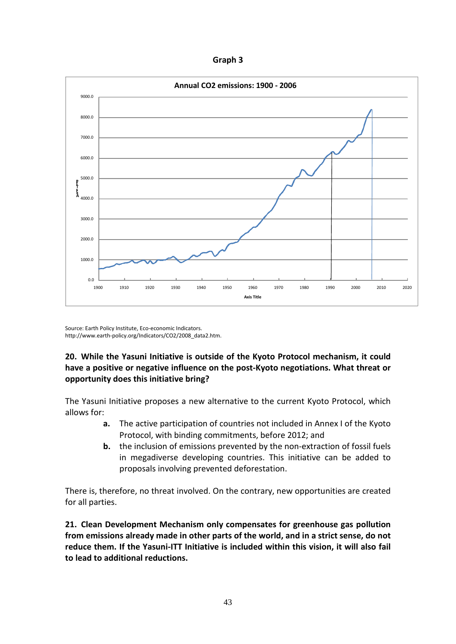**Graph 3**



Source: Earth Policy Institute, Eco-economic Indicators. http://www.earth-policy.org/Indicators/CO2/2008\_data2.htm.

## **20. While the Yasuni Initiative is outside of the Kyoto Protocol mechanism, it could have a positive or negative influence on the post-Kyoto negotiations. What threat or opportunity does this initiative bring?**

The Yasuni Initiative proposes a new alternative to the current Kyoto Protocol, which allows for:

- **a.** The active participation of countries not included in Annex I of the Kyoto Protocol, with binding commitments, before 2012; and
- **b.** the inclusion of emissions prevented by the non-extraction of fossil fuels in megadiverse developing countries. This initiative can be added to proposals involving prevented deforestation.

There is, therefore, no threat involved. On the contrary, new opportunities are created for all parties.

**21. Clean Development Mechanism only compensates for greenhouse gas pollution from emissions already made in other parts of the world, and in a strict sense, do not reduce them. If the Yasuni-ITT Initiative is included within this vision, it will also fail to lead to additional reductions.**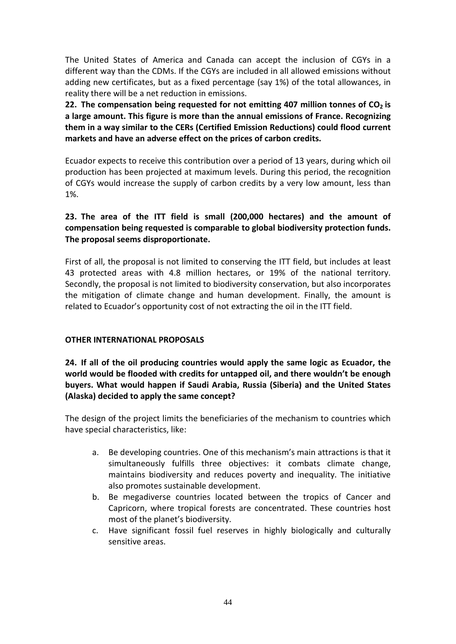The United States of America and Canada can accept the inclusion of CGYs in a different way than the CDMs. If the CGYs are included in all allowed emissions without adding new certificates, but as a fixed percentage (say 1%) of the total allowances, in reality there will be a net reduction in emissions.

**22.** The compensation being requested for not emitting 407 million tonnes of CO<sub>2</sub> is **a large amount. This figure is more than the annual emissions of France. Recognizing them in a way similar to the CERs (Certified Emission Reductions) could flood current markets and have an adverse effect on the prices of carbon credits.** 

Ecuador expects to receive this contribution over a period of 13 years, during which oil production has been projected at maximum levels. During this period, the recognition of CGYs would increase the supply of carbon credits by a very low amount, less than 1%.

## **23. The area of the ITT field is small (200,000 hectares) and the amount of compensation being requested is comparable to global biodiversity protection funds. The proposal seems disproportionate.**

First of all, the proposal is not limited to conserving the ITT field, but includes at least 43 protected areas with 4.8 million hectares, or 19% of the national territory. Secondly, the proposal is not limited to biodiversity conservation, but also incorporates the mitigation of climate change and human development. Finally, the amount is related to Ecuador's opportunity cost of not extracting the oil in the ITT field.

### **OTHER INTERNATIONAL PROPOSALS**

**24. If all of the oil producing countries would apply the same logic as Ecuador, the world would be flooded with credits for untapped oil, and there wouldn't be enough buyers. What would happen if Saudi Arabia, Russia (Siberia) and the United States (Alaska) decided to apply the same concept?**

The design of the project limits the beneficiaries of the mechanism to countries which have special characteristics, like:

- a. Be developing countries. One of this mechanism's main attractions is that it simultaneously fulfills three objectives: it combats climate change, maintains biodiversity and reduces poverty and inequality. The initiative also promotes sustainable development.
- b. Be megadiverse countries located between the tropics of Cancer and Capricorn, where tropical forests are concentrated. These countries host most of the planet's biodiversity.
- c. Have significant fossil fuel reserves in highly biologically and culturally sensitive areas.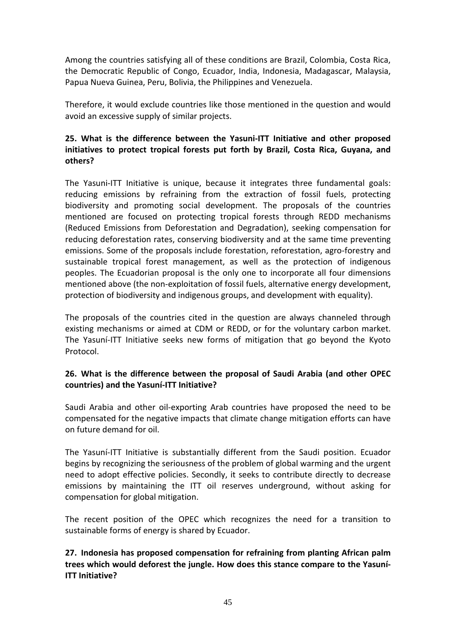Among the countries satisfying all of these conditions are Brazil, Colombia, Costa Rica, the Democratic Republic of Congo, Ecuador, India, Indonesia, Madagascar, Malaysia, Papua Nueva Guinea, Peru, Bolivia, the Philippines and Venezuela.

Therefore, it would exclude countries like those mentioned in the question and would avoid an excessive supply of similar projects.

## **25. What is the difference between the Yasuni-ITT Initiative and other proposed initiatives to protect tropical forests put forth by Brazil, Costa Rica, Guyana, and others?**

The Yasuni-ITT Initiative is unique, because it integrates three fundamental goals: reducing emissions by refraining from the extraction of fossil fuels, protecting biodiversity and promoting social development. The proposals of the countries mentioned are focused on protecting tropical forests through REDD mechanisms (Reduced Emissions from Deforestation and Degradation), seeking compensation for reducing deforestation rates, conserving biodiversity and at the same time preventing emissions. Some of the proposals include forestation, reforestation, agro-forestry and sustainable tropical forest management, as well as the protection of indigenous peoples. The Ecuadorian proposal is the only one to incorporate all four dimensions mentioned above (the non-exploitation of fossil fuels, alternative energy development, protection of biodiversity and indigenous groups, and development with equality).

The proposals of the countries cited in the question are always channeled through existing mechanisms or aimed at CDM or REDD, or for the voluntary carbon market. The Yasuní-ITT Initiative seeks new forms of mitigation that go beyond the Kyoto Protocol.

### **26. What is the difference between the proposal of Saudi Arabia (and other OPEC countries) and the Yasuní-ITT Initiative?**

Saudi Arabia and other oil-exporting Arab countries have proposed the need to be compensated for the negative impacts that climate change mitigation efforts can have on future demand for oil.

The Yasuní-ITT Initiative is substantially different from the Saudi position. Ecuador begins by recognizing the seriousness of the problem of global warming and the urgent need to adopt effective policies. Secondly, it seeks to contribute directly to decrease emissions by maintaining the ITT oil reserves underground, without asking for compensation for global mitigation.

The recent position of the OPEC which recognizes the need for a transition to sustainable forms of energy is shared by Ecuador.

**27. Indonesia has proposed compensation for refraining from planting African palm trees which would deforest the jungle. How does this stance compare to the Yasuní-ITT Initiative?**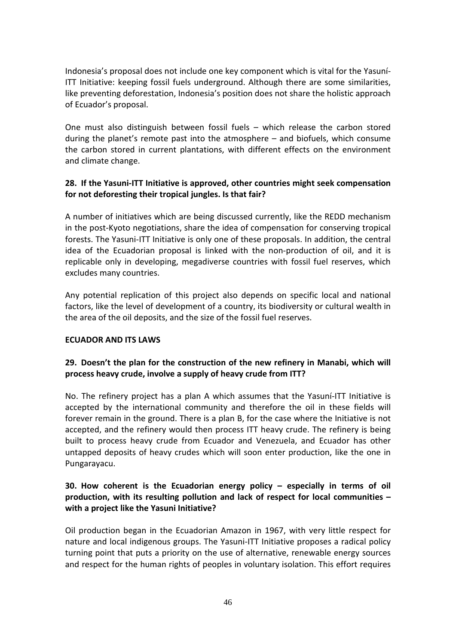Indonesia's proposal does not include one key component which is vital for the Yasuní-ITT Initiative: keeping fossil fuels underground. Although there are some similarities, like preventing deforestation, Indonesia's position does not share the holistic approach of Ecuador's proposal.

One must also distinguish between fossil fuels – which release the carbon stored during the planet's remote past into the atmosphere – and biofuels, which consume the carbon stored in current plantations, with different effects on the environment and climate change.

### **28. If the Yasuni-ITT Initiative is approved, other countries might seek compensation for not deforesting their tropical jungles. Is that fair?**

A number of initiatives which are being discussed currently, like the REDD mechanism in the post-Kyoto negotiations, share the idea of compensation for conserving tropical forests. The Yasuni-ITT Initiative is only one of these proposals. In addition, the central idea of the Ecuadorian proposal is linked with the non-production of oil, and it is replicable only in developing, megadiverse countries with fossil fuel reserves, which excludes many countries.

Any potential replication of this project also depends on specific local and national factors, like the level of development of a country, its biodiversity or cultural wealth in the area of the oil deposits, and the size of the fossil fuel reserves.

### **ECUADOR AND ITS LAWS**

## **29. Doesn't the plan for the construction of the new refinery in Manabi, which will process heavy crude, involve a supply of heavy crude from ITT?**

No. The refinery project has a plan A which assumes that the Yasuní-ITT Initiative is accepted by the international community and therefore the oil in these fields will forever remain in the ground. There is a plan B, for the case where the Initiative is not accepted, and the refinery would then process ITT heavy crude. The refinery is being built to process heavy crude from Ecuador and Venezuela, and Ecuador has other untapped deposits of heavy crudes which will soon enter production, like the one in Pungarayacu.

## **30. How coherent is the Ecuadorian energy policy – especially in terms of oil production, with its resulting pollution and lack of respect for local communities – with a project like the Yasuni Initiative?**

Oil production began in the Ecuadorian Amazon in 1967, with very little respect for nature and local indigenous groups. The Yasuni-ITT Initiative proposes a radical policy turning point that puts a priority on the use of alternative, renewable energy sources and respect for the human rights of peoples in voluntary isolation. This effort requires